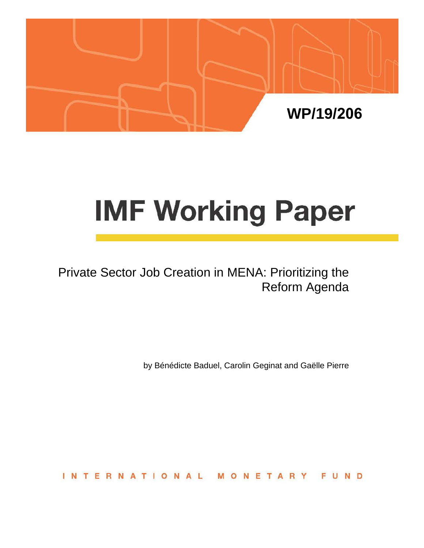

# **IMF Working Paper**

Private Sector Job Creation in MENA: Prioritizing the Reform Agenda

by Bénédicte Baduel, Carolin Geginat and Gaëlle Pierre

**INTERNATIONAL** FUND NETAR M  $\circ$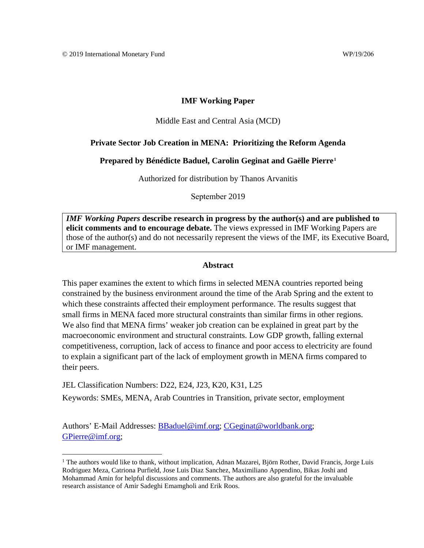#### **IMF Working Paper**

#### Middle East and Central Asia (MCD)

#### **Private Sector Job Creation in MENA: Prioritizing the Reform Agenda**

#### **Prepared by Bénédicte Baduel, Carolin Geginat and Gaëlle Pierre[1](#page-1-0)**

Authorized for distribution by Thanos Arvanitis

September 2019

*IMF Working Papers* **describe research in progress by the author(s) and are published to elicit comments and to encourage debate.** The views expressed in IMF Working Papers are those of the author(s) and do not necessarily represent the views of the IMF, its Executive Board, or IMF management.

#### **Abstract**

This paper examines the extent to which firms in selected MENA countries reported being constrained by the business environment around the time of the Arab Spring and the extent to which these constraints affected their employment performance. The results suggest that small firms in MENA faced more structural constraints than similar firms in other regions. We also find that MENA firms' weaker job creation can be explained in great part by the macroeconomic environment and structural constraints. Low GDP growth, falling external competitiveness, corruption, lack of access to finance and poor access to electricity are found to explain a significant part of the lack of employment growth in MENA firms compared to their peers.

JEL Classification Numbers: D22, E24, J23, K20, K31, L25 Keywords: SMEs, MENA, Arab Countries in Transition, private sector, employment

Authors' E-Mail Addresses: [BBaduel@imf.org;](mailto:BBaduel@imf.org) [CGeginat@worldbank.org;](mailto:CGeginat@worldbank.org) [GPierre@imf.org;](mailto:GPierre@imf.org)

<span id="page-1-0"></span><sup>&</sup>lt;sup>1</sup> The authors would like to thank, without implication, Adnan Mazarei, Björn Rother, David Francis, Jorge Luis Rodriguez Meza, Catriona Purfield, Jose Luis Diaz Sanchez, Maximiliano Appendino, Bikas Joshi and Mohammad Amin for helpful discussions and comments. The authors are also grateful for the invaluable research assistance of Amir Sadeghi Emamgholi and Erik Roos.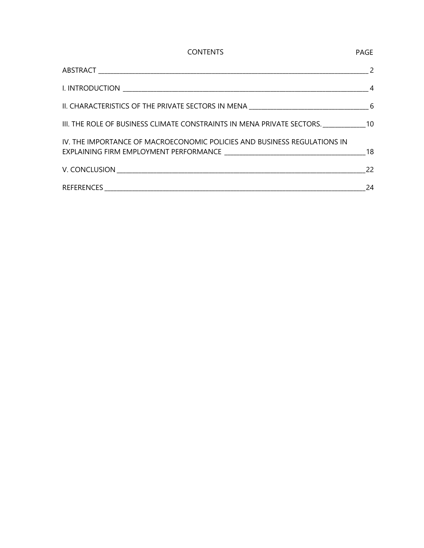| <b>CONTENTS</b>                                                              | <b>PAGE</b> |
|------------------------------------------------------------------------------|-------------|
|                                                                              |             |
|                                                                              |             |
|                                                                              |             |
| III. THE ROLE OF BUSINESS CLIMATE CONSTRAINTS IN MENA PRIVATE SECTORS. 10 10 |             |
| IV. THE IMPORTANCE OF MACROECONOMIC POLICIES AND BUSINESS REGULATIONS IN     |             |
|                                                                              | 22          |
|                                                                              | 24          |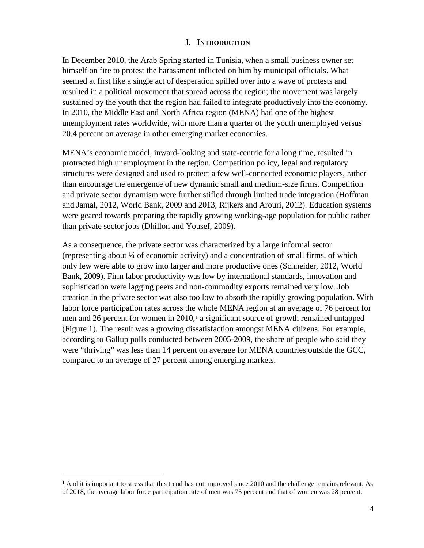#### I. **INTRODUCTION**

In December 2010, the Arab Spring started in Tunisia, when a small business owner set himself on fire to protest the harassment inflicted on him by municipal officials. What seemed at first like a single act of desperation spilled over into a wave of protests and resulted in a political movement that spread across the region; the movement was largely sustained by the youth that the region had failed to integrate productively into the economy. In 2010, the Middle East and North Africa region (MENA) had one of the highest unemployment rates worldwide, with more than a quarter of the youth unemployed versus 20.4 percent on average in other emerging market economies.

MENA's economic model, inward-looking and state-centric for a long time, resulted in protracted high unemployment in the region. Competition policy, legal and regulatory structures were designed and used to protect a few well-connected economic players, rather than encourage the emergence of new dynamic small and medium-size firms. Competition and private sector dynamism were further stifled through limited trade integration (Hoffman and Jamal, 2012, World Bank, 2009 and 2013, Rijkers and Arouri, 2012). Education systems were geared towards preparing the rapidly growing working-age population for public rather than private sector jobs (Dhillon and Yousef, 2009).

As a consequence, the private sector was characterized by a large informal sector (representing about ¼ of economic activity) and a concentration of small firms, of which only few were able to grow into larger and more productive ones (Schneider, 2012, World Bank, 2009). Firm labor productivity was low by international standards, innovation and sophistication were lagging peers and non-commodity exports remained very low. Job creation in the private sector was also too low to absorb the rapidly growing population. With labor force participation rates across the whole MENA region at an average of 76 percent for men and 26 percent for women in  $2010<sub>1</sub>$  $2010<sub>1</sub>$  $2010<sub>1</sub>$  a significant source of growth remained untapped (Figure 1). The result was a growing dissatisfaction amongst MENA citizens. For example, according to Gallup polls conducted between 2005-2009, the share of people who said they were "thriving" was less than 14 percent on average for MENA countries outside the GCC, compared to an average of 27 percent among emerging markets.

<span id="page-3-0"></span> $<sup>1</sup>$  And it is important to stress that this trend has not improved since 2010 and the challenge remains relevant. As</sup> of 2018, the average labor force participation rate of men was 75 percent and that of women was 28 percent.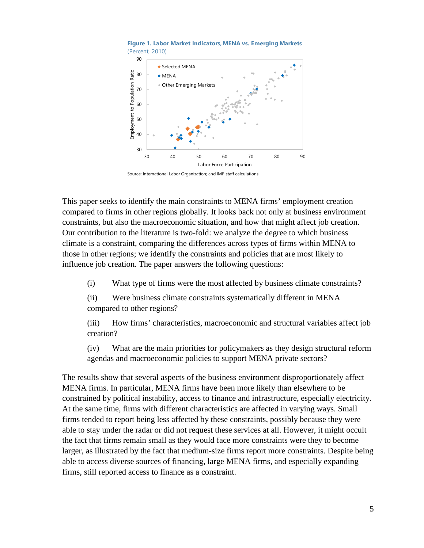

**Figure 1. Labor Market Indicators, MENA vs. Emerging Markets** (Percent, 2010)

Source: International Labor Organization; and IMF staff calculations.

This paper seeks to identify the main constraints to MENA firms' employment creation compared to firms in other regions globally. It looks back not only at business environment constraints, but also the macroeconomic situation, and how that might affect job creation. Our contribution to the literature is two-fold: we analyze the degree to which business climate is a constraint, comparing the differences across types of firms within MENA to those in other regions; we identify the constraints and policies that are most likely to influence job creation. The paper answers the following questions:

(i) What type of firms were the most affected by business climate constraints?

(ii) Were business climate constraints systematically different in MENA compared to other regions?

(iii) How firms' characteristics, macroeconomic and structural variables affect job creation?

(iv) What are the main priorities for policymakers as they design structural reform agendas and macroeconomic policies to support MENA private sectors?

The results show that several aspects of the business environment disproportionately affect MENA firms. In particular, MENA firms have been more likely than elsewhere to be constrained by political instability, access to finance and infrastructure, especially electricity. At the same time, firms with different characteristics are affected in varying ways. Small firms tended to report being less affected by these constraints, possibly because they were able to stay under the radar or did not request these services at all. However, it might occult the fact that firms remain small as they would face more constraints were they to become larger, as illustrated by the fact that medium-size firms report more constraints. Despite being able to access diverse sources of financing, large MENA firms, and especially expanding firms, still reported access to finance as a constraint.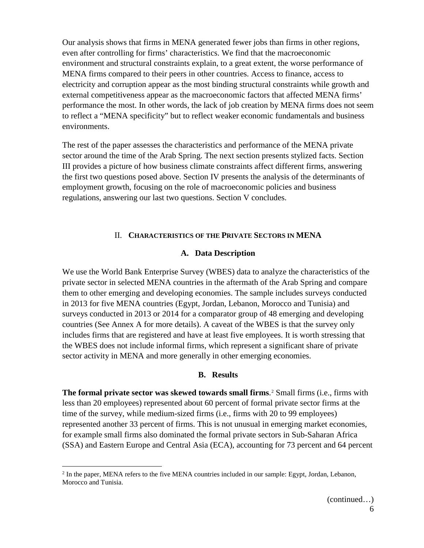Our analysis shows that firms in MENA generated fewer jobs than firms in other regions, even after controlling for firms' characteristics. We find that the macroeconomic environment and structural constraints explain, to a great extent, the worse performance of MENA firms compared to their peers in other countries. Access to finance, access to electricity and corruption appear as the most binding structural constraints while growth and external competitiveness appear as the macroeconomic factors that affected MENA firms' performance the most. In other words, the lack of job creation by MENA firms does not seem to reflect a "MENA specificity" but to reflect weaker economic fundamentals and business environments.

The rest of the paper assesses the characteristics and performance of the MENA private sector around the time of the Arab Spring. The next section presents stylized facts. Section III provides a picture of how business climate constraints affect different firms, answering the first two questions posed above. Section IV presents the analysis of the determinants of employment growth, focusing on the role of macroeconomic policies and business regulations, answering our last two questions. Section V concludes.

#### II. **CHARACTERISTICS OF THE PRIVATE SECTORS IN MENA**

#### **A. Data Description**

We use the World Bank Enterprise Survey (WBES) data to analyze the characteristics of the private sector in selected MENA countries in the aftermath of the Arab Spring and compare them to other emerging and developing economies. The sample includes surveys conducted in 2013 for five MENA countries (Egypt, Jordan, Lebanon, Morocco and Tunisia) and surveys conducted in 2013 or 2014 for a comparator group of 48 emerging and developing countries (See Annex A for more details). A caveat of the WBES is that the survey only includes firms that are registered and have at least five employees. It is worth stressing that the WBES does not include informal firms, which represent a significant share of private sector activity in MENA and more generally in other emerging economies.

#### **B. Results**

**The formal private sector was skewed towards small firms**.<sup>[2](#page-5-0)</sup> Small firms (i.e., firms with less than 20 employees) represented about 60 percent of formal private sector firms at the time of the survey, while medium-sized firms (i.e., firms with 20 to 99 employees) represented another 33 percent of firms. This is not unusual in emerging market economies, for example small firms also dominated the formal private sectors in Sub-Saharan Africa (SSA) and Eastern Europe and Central Asia (ECA), accounting for 73 percent and 64 percent

<span id="page-5-0"></span> <sup>2</sup> In the paper, MENA refers to the five MENA countries included in our sample: Egypt, Jordan, Lebanon, Morocco and Tunisia.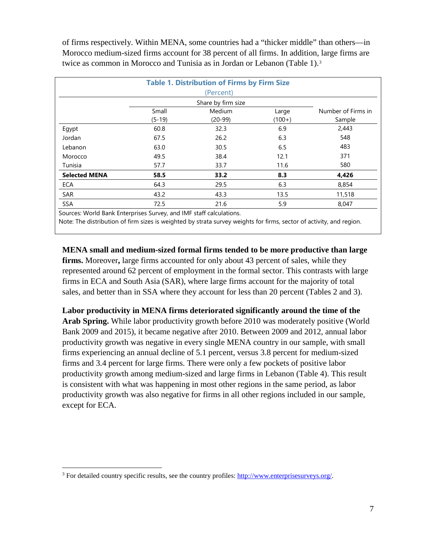of firms respectively. Within MENA, some countries had a "thicker middle" than others—in Morocco medium-sized firms account for 38 percent of all firms. In addition, large firms are twice as common in Morocco and Tunisia as in Jordan or Lebanon (Table 1).<sup>[3](#page-6-0)</sup>

|                      |                   | <b>Table 1. Distribution of Firms by Firm Size</b> |                   |                              |
|----------------------|-------------------|----------------------------------------------------|-------------------|------------------------------|
|                      |                   | (Percent)                                          |                   |                              |
|                      |                   | Share by firm size                                 |                   |                              |
|                      | Small<br>$(5-19)$ | Medium<br>$(20-99)$                                | Large<br>$(100+)$ | Number of Firms in<br>Sample |
| Egypt                | 60.8              | 32.3                                               | 6.9               | 2,443                        |
| Jordan               | 67.5              | 26.2                                               | 6.3               | 548                          |
| Lebanon              | 63.0              | 30.5                                               | 6.5               | 483                          |
| Morocco              | 49.5              | 38.4                                               | 12.1              | 371                          |
| Tunisia              | 57.7              | 33.7                                               | 11.6              | 580                          |
| <b>Selected MENA</b> | 58.5              | 33.2                                               | 8.3               | 4,426                        |
| ECA                  | 64.3              | 29.5                                               | 6.3               | 8,854                        |
| SAR                  | 43.2              | 43.3                                               | 13.5              | 11,518                       |
| SSA                  | 72.5              | 21.6                                               | 5.9               | 8,047                        |

Sources: World Bank Enterprises Survey, and IMF staff calculations.

Note: The distribution of firm sizes is weighted by strata survey weights for firms, sector of activity, and region.

**MENA small and medium-sized formal firms tended to be more productive than large firms.** Moreover**,** large firms accounted for only about 43 percent of sales, while they represented around 62 percent of employment in the formal sector. This contrasts with large firms in ECA and South Asia (SAR), where large firms account for the majority of total sales, and better than in SSA where they account for less than 20 percent (Tables 2 and 3).

**Labor productivity in MENA firms deteriorated significantly around the time of the Arab Spring.** While labor productivity growth before 2010 was moderately positive (World Bank 2009 and 2015), it became negative after 2010. Between 2009 and 2012, annual labor productivity growth was negative in every single MENA country in our sample, with small firms experiencing an annual decline of 5.1 percent, versus 3.8 percent for medium-sized firms and 3.4 percent for large firms. There were only a few pockets of positive labor productivity growth among medium-sized and large firms in Lebanon (Table 4). This result is consistent with what was happening in most other regions in the same period, as labor productivity growth was also negative for firms in all other regions included in our sample, except for ECA.

<span id="page-6-0"></span><sup>&</sup>lt;sup>3</sup> For detailed country specific results, see the country profiles: [http://www.enterprisesurveys.org/.](http://www.enterprisesurveys.org/)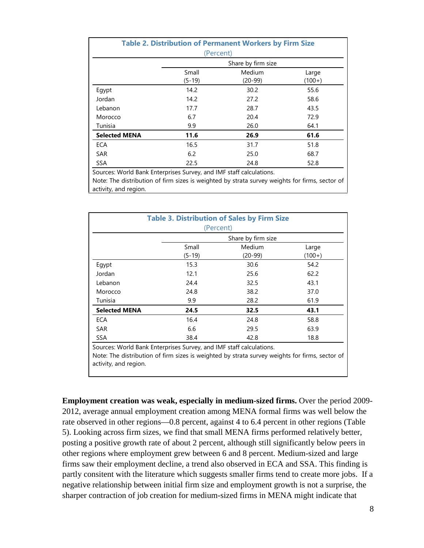|                      | (Percent) | <b>Table 2. Distribution of Permanent Workers by Firm Size</b> |          |
|----------------------|-----------|----------------------------------------------------------------|----------|
|                      |           | Share by firm size                                             |          |
|                      | Small     | Medium                                                         | Large    |
|                      | $(5-19)$  | $(20-99)$                                                      | $(100+)$ |
| Egypt                | 14.2      | 30.2                                                           | 55.6     |
| Jordan               | 14.2      | 27.2                                                           | 58.6     |
| Lebanon              | 17.7      | 28.7                                                           | 43.5     |
| Morocco              | 6.7       | 20.4                                                           | 72.9     |
| Tunisia              | 9.9       | 26.0                                                           | 64.1     |
| <b>Selected MENA</b> | 11.6      | 26.9                                                           | 61.6     |
| <b>ECA</b>           | 16.5      | 31.7                                                           | 51.8     |
| <b>SAR</b>           | 6.2       | 25.0                                                           | 68.7     |
| <b>SSA</b>           | 22.5      | 24.8                                                           | 52.8     |

Sources: World Bank Enterprises Survey, and IMF staff calculations.

Note: The distribution of firm sizes is weighted by strata survey weights for firms, sector of activity, and region.

|                      | (Percent) | <b>Table 3. Distribution of Sales by Firm Size</b> |          |
|----------------------|-----------|----------------------------------------------------|----------|
|                      |           | Share by firm size                                 |          |
|                      | Small     | Medium                                             | Large    |
|                      | $(5-19)$  | $(20-99)$                                          | $(100+)$ |
| Egypt                | 15.3      | 30.6                                               | 54.2     |
| Jordan               | 12.1      | 25.6                                               | 62.2     |
| Lebanon              | 24.4      | 32.5                                               | 43.1     |
| Morocco              | 24.8      | 38.2                                               | 37.0     |
| Tunisia              | 9.9       | 28.2                                               | 61.9     |
| <b>Selected MENA</b> | 24.5      | 32.5                                               | 43.1     |
| <b>ECA</b>           | 16.4      | 24.8                                               | 58.8     |
| <b>SAR</b>           | 6.6       | 29.5                                               | 63.9     |
| <b>SSA</b>           | 38.4      | 42.8                                               | 18.8     |

Sources: World Bank Enterprises Survey, and IMF staff calculations. Note: The distribution of firm sizes is weighted by strata survey weights for firms, sector of activity, and region.

**Employment creation was weak, especially in medium-sized firms.** Over the period 2009- 2012, average annual employment creation among MENA formal firms was well below the rate observed in other regions—0.8 percent, against 4 to 6.4 percent in other regions (Table 5). Looking across firm sizes, we find that small MENA firms performed relatively better, posting a positive growth rate of about 2 percent, although still significantly below peers in other regions where employment grew between 6 and 8 percent. Medium-sized and large firms saw their employment decline, a trend also observed in ECA and SSA. This finding is partly consitent with the literature which suggests smaller firms tend to create more jobs. If a negative relationship between initial firm size and employment growth is not a surprise, the sharper contraction of job creation for medium-sized firms in MENA might indicate that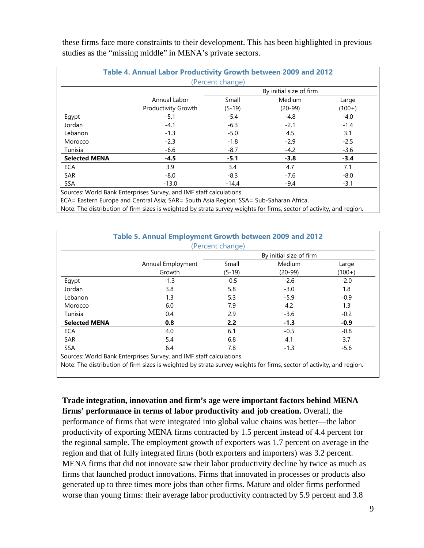these firms face more constraints to their development. This has been highlighted in previous studies as the "missing middle" in MENA's private sectors.

|                      | Table 4. Annual Labor Productivity Growth between 2009 and 2012 |                  |                         |          |
|----------------------|-----------------------------------------------------------------|------------------|-------------------------|----------|
|                      |                                                                 | (Percent change) |                         |          |
|                      |                                                                 |                  | By initial size of firm |          |
|                      | Annual Labor                                                    | Small            | Medium                  | Large    |
|                      | <b>Productivity Growth</b>                                      | $(5-19)$         | $(20-99)$               | $(100+)$ |
| Egypt                | $-5.1$                                                          | $-5.4$           | $-4.8$                  | $-4.0$   |
| Jordan               | $-4.1$                                                          | $-6.3$           | $-2.1$                  | $-1.4$   |
| Lebanon              | $-1.3$                                                          | $-5.0$           | 4.5                     | 3.1      |
| Morocco              | $-2.3$                                                          | $-1.8$           | $-2.9$                  | $-2.5$   |
| Tunisia              | $-6.6$                                                          | $-8.7$           | $-4.2$                  | $-3.6$   |
| <b>Selected MENA</b> | $-4.5$                                                          | $-5.1$           | $-3.8$                  | $-3.4$   |
| <b>ECA</b>           | 3.9                                                             | 3.4              | 4.7                     | 7.1      |
| <b>SAR</b>           | $-8.0$                                                          | $-8.3$           | $-7.6$                  | $-8.0$   |
| <b>SSA</b>           | $-13.0$                                                         | $-14.4$          | $-9.4$                  | $-3.1$   |

Sources: World Bank Enterprises Survey, and IMF staff calculations.

ECA= Eastern Europe and Central Asia; SAR= South Asia Region; SSA= Sub-Saharan Africa.

Note: The distribution of firm sizes is weighted by strata survey weights for firms, sector of activity, and region.

|                      | Table 5. Annual Employment Growth between 2009 and 2012 |                  |                         |          |
|----------------------|---------------------------------------------------------|------------------|-------------------------|----------|
|                      |                                                         | (Percent change) |                         |          |
|                      |                                                         |                  | By initial size of firm |          |
|                      | Annual Employment                                       | Small            | Medium                  | Large    |
|                      | Growth                                                  | $(5-19)$         | $(20-99)$               | $(100+)$ |
| Egypt                | $-1.3$                                                  | $-0.5$           | $-2.6$                  | $-2.0$   |
| Jordan               | 3.8                                                     | 5.8              | $-3.0$                  | 1.8      |
| Lebanon              | 1.3                                                     | 5.3              | $-5.9$                  | $-0.9$   |
| Morocco              | 6.0                                                     | 7.9              | 4.2                     | 1.3      |
| Tunisia              | 0.4                                                     | 2.9              | $-3.6$                  | $-0.2$   |
| <b>Selected MENA</b> | 0.8                                                     | 2.2              | $-1.3$                  | $-0.9$   |
| <b>ECA</b>           | 4.0                                                     | 6.1              | $-0.5$                  | $-0.8$   |
| <b>SAR</b>           | 5.4                                                     | 6.8              | 4.1                     | 3.7      |
| <b>SSA</b>           | 6.4                                                     | 7.8              | $-1.3$                  | $-5.6$   |

Sources: World Bank Enterprises Survey, and IMF staff calculations.

Note: The distribution of firm sizes is weighted by strata survey weights for firms, sector of activity, and region.

**Trade integration, innovation and firm's age were important factors behind MENA firms' performance in terms of labor productivity and job creation.** Overall, the performance of firms that were integrated into global value chains was better—the labor productivity of exporting MENA firms contracted by 1.5 percent instead of 4.4 percent for the regional sample. The employment growth of exporters was 1.7 percent on average in the

region and that of fully integrated firms (both exporters and importers) was 3.2 percent. MENA firms that did not innovate saw their labor productivity decline by twice as much as firms that launched product innovations. Firms that innovated in processes or products also generated up to three times more jobs than other firms. Mature and older firms performed worse than young firms: their average labor productivity contracted by 5.9 percent and 3.8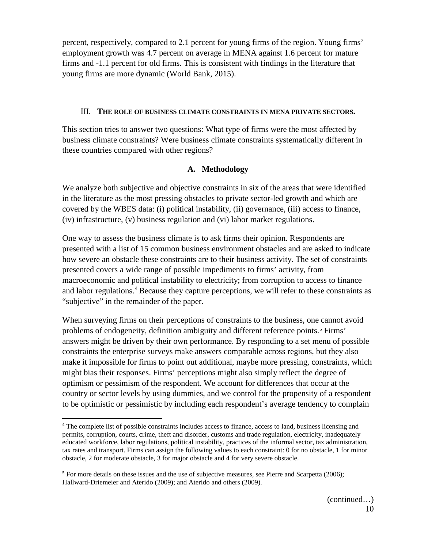percent, respectively, compared to 2.1 percent for young firms of the region. Young firms' employment growth was 4.7 percent on average in MENA against 1.6 percent for mature firms and -1.1 percent for old firms. This is consistent with findings in the literature that young firms are more dynamic (World Bank, 2015).

#### III. **THE ROLE OF BUSINESS CLIMATE CONSTRAINTS IN MENA PRIVATE SECTORS.**

This section tries to answer two questions: What type of firms were the most affected by business climate constraints? Were business climate constraints systematically different in these countries compared with other regions?

#### **A. Methodology**

We analyze both subjective and objective constraints in six of the areas that were identified in the literature as the most pressing obstacles to private sector-led growth and which are covered by the WBES data: (i) political instability, (ii) governance, (iii) access to finance, (iv) infrastructure, (v) business regulation and (vi) labor market regulations.

One way to assess the business climate is to ask firms their opinion. Respondents are presented with a list of 15 common business environment obstacles and are asked to indicate how severe an obstacle these constraints are to their business activity. The set of constraints presented covers a wide range of possible impediments to firms' activity, from macroeconomic and political instability to electricity; from corruption to access to finance and labor regulations.<sup>[4](#page-9-0)</sup> Because they capture perceptions, we will refer to these constraints as "subjective" in the remainder of the paper.

When surveying firms on their perceptions of constraints to the business, one cannot avoid problems of endogeneity, definition ambiguity and different reference points.<sup>[5](#page-9-1)</sup> Firms' answers might be driven by their own performance. By responding to a set menu of possible constraints the enterprise surveys make answers comparable across regions, but they also make it impossible for firms to point out additional, maybe more pressing, constraints, which might bias their responses. Firms' perceptions might also simply reflect the degree of optimism or pessimism of the respondent. We account for differences that occur at the country or sector levels by using dummies, and we control for the propensity of a respondent to be optimistic or pessimistic by including each respondent's average tendency to complain

<span id="page-9-0"></span><sup>&</sup>lt;sup>4</sup> The complete list of possible constraints includes access to finance, access to land, business licensing and permits, corruption, courts, crime, theft and disorder, customs and trade regulation, electricity, inadequately educated workforce, labor regulations, political instability, practices of the informal sector, tax administration, tax rates and transport. Firms can assign the following values to each constraint: 0 for no obstacle, 1 for minor obstacle, 2 for moderate obstacle, 3 for major obstacle and 4 for very severe obstacle.

<span id="page-9-1"></span><sup>5</sup> For more details on these issues and the use of subjective measures, see Pierre and Scarpetta (2006); Hallward-Driemeier and Aterido (2009); and Aterido and others (2009).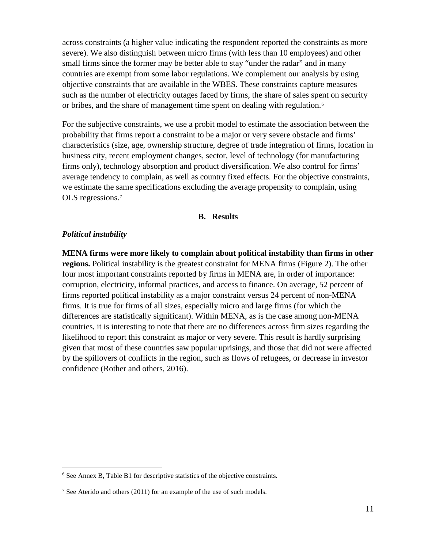across constraints (a higher value indicating the respondent reported the constraints as more severe). We also distinguish between micro firms (with less than 10 employees) and other small firms since the former may be better able to stay "under the radar" and in many countries are exempt from some labor regulations. We complement our analysis by using objective constraints that are available in the WBES. These constraints capture measures such as the number of electricity outages faced by firms, the share of sales spent on security or bribes, and the share of management time spent on dealing with regulation. [6](#page-10-0)

For the subjective constraints, we use a probit model to estimate the association between the probability that firms report a constraint to be a major or very severe obstacle and firms' characteristics (size, age, ownership structure, degree of trade integration of firms, location in business city, recent employment changes, sector, level of technology (for manufacturing firms only), technology absorption and product diversification. We also control for firms' average tendency to complain, as well as country fixed effects. For the objective constraints, we estimate the same specifications excluding the average propensity to complain, using OLS regressions.[7](#page-10-1)

#### **B. Results**

#### *Political instability*

**MENA firms were more likely to complain about political instability than firms in other regions.** Political instability is the greatest constraint for MENA firms (Figure 2). The other four most important constraints reported by firms in MENA are, in order of importance: corruption, electricity, informal practices, and access to finance. On average, 52 percent of firms reported political instability as a major constraint versus 24 percent of non-MENA firms. It is true for firms of all sizes, especially micro and large firms (for which the differences are statistically significant). Within MENA, as is the case among non-MENA countries, it is interesting to note that there are no differences across firm sizes regarding the likelihood to report this constraint as major or very severe. This result is hardly surprising given that most of these countries saw popular uprisings, and those that did not were affected by the spillovers of conflicts in the region, such as flows of refugees, or decrease in investor confidence (Rother and others, 2016).

<span id="page-10-0"></span><sup>&</sup>lt;sup>6</sup> See Annex B, Table B1 for descriptive statistics of the objective constraints.

<span id="page-10-1"></span><sup>&</sup>lt;sup>7</sup> See Aterido and others (2011) for an example of the use of such models.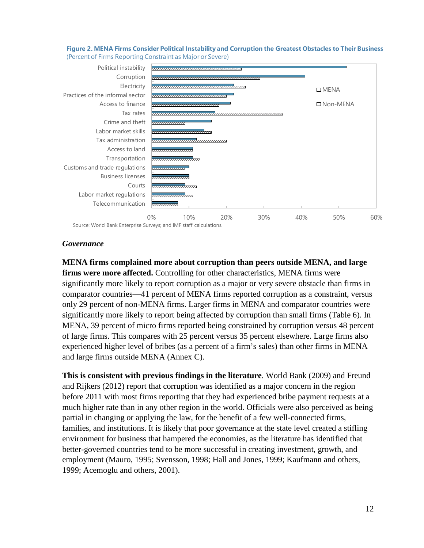



Source: World Bank Enterprise Surveys; and IMF staff calculations.

#### *Governance*

**MENA firms complained more about corruption than peers outside MENA, and large firms were more affected.** Controlling for other characteristics, MENA firms were significantly more likely to report corruption as a major or very severe obstacle than firms in comparator countries—41 percent of MENA firms reported corruption as a constraint, versus only 29 percent of non-MENA firms. Larger firms in MENA and comparator countries were significantly more likely to report being affected by corruption than small firms (Table 6). In MENA, 39 percent of micro firms reported being constrained by corruption versus 48 percent of large firms. This compares with 25 percent versus 35 percent elsewhere. Large firms also experienced higher level of bribes (as a percent of a firm's sales) than other firms in MENA and large firms outside MENA (Annex C).

**This is consistent with previous findings in the literature**. World Bank (2009) and Freund and Rijkers (2012) report that corruption was identified as a major concern in the region before 2011 with most firms reporting that they had experienced bribe payment requests at a much higher rate than in any other region in the world. Officials were also perceived as being partial in changing or applying the law, for the benefit of a few well-connected firms, families, and institutions. It is likely that poor governance at the state level created a stifling environment for business that hampered the economies, as the literature has identified that better-governed countries tend to be more successful in creating investment, growth, and employment (Mauro, 1995; Svensson, 1998; Hall and Jones, 1999; Kaufmann and others, 1999; Acemoglu and others, 2001).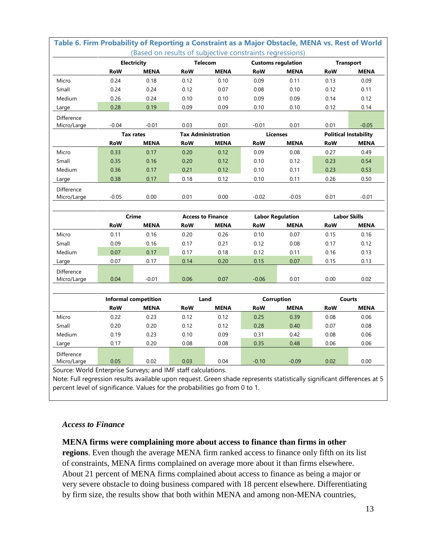|                   | (Based on results of subjective constraints regressions)<br>Electricity<br><b>Telecom</b> |                      | <b>Customs regulation</b> |                           | <b>Transport</b> |                         |               |                              |  |
|-------------------|-------------------------------------------------------------------------------------------|----------------------|---------------------------|---------------------------|------------------|-------------------------|---------------|------------------------------|--|
|                   | <b>RoW</b>                                                                                | <b>MENA</b>          | <b>RoW</b>                | <b>MENA</b>               | <b>RoW</b>       | <b>MENA</b>             | <b>RoW</b>    | <b>MENA</b>                  |  |
| Micro             | 0.24                                                                                      | 0.18                 | 0.12                      | 0.10                      | 0.09             | 0.11                    | 0.13          | 0.09                         |  |
| Small             | 0.24                                                                                      | 0.24                 | 0.12                      | 0.07                      | 0.08             | 0.10                    | 0.12          | 0.11                         |  |
| Medium            | 0.26                                                                                      | 0.24                 | 0.10                      | 0.10                      | 0.09             | 0.09                    | 0.14          | 0.12                         |  |
| Large             | 0.28                                                                                      | 0.19                 | 0.09                      | 0.09                      | 0.10             | 0.10                    | 0.12          | 0.14                         |  |
| Difference        |                                                                                           |                      |                           |                           |                  |                         |               |                              |  |
| Micro/Large       | $-0.04$                                                                                   | $-0.01$              | 0.03                      | 0.01                      | $-0.01$          | 0.01                    | 0.01          | $-0.05$                      |  |
|                   |                                                                                           | <b>Tax rates</b>     |                           | <b>Tax Administration</b> |                  | <b>Licenses</b>         |               | <b>Political Instability</b> |  |
|                   | <b>RoW</b>                                                                                | <b>MENA</b>          | <b>RoW</b>                | <b>MENA</b>               | <b>RoW</b>       | <b>MENA</b>             | <b>RoW</b>    | <b>MENA</b>                  |  |
| Micro             | 0.33                                                                                      | 0.17                 | 0.20                      | 0.12                      | 0.09             | 0.08                    | 0.27          | 0.49                         |  |
| Small             | 0.35                                                                                      | 0.16                 | 0.20                      | 0.12                      | 0.10             | 0.12                    | 0.23          | 0.54                         |  |
| Medium            | 0.36                                                                                      | 0.17                 | 0.21                      | 0.12                      | 0.10             | 0.11                    | 0.23          | 0.53                         |  |
| Large             | 0.38                                                                                      | 0.17                 | 0.18                      | 0.12                      | 0.10             | 0.11                    | 0.26          | 0.50                         |  |
| Difference        |                                                                                           |                      |                           |                           |                  |                         |               |                              |  |
| Micro/Large       | $-0.05$                                                                                   | 0.00                 | 0.01                      | 0.00                      | $-0.02$          | $-0.03$                 | 0.01          | $-0.01$                      |  |
|                   |                                                                                           |                      |                           |                           |                  |                         |               |                              |  |
|                   |                                                                                           | <b>Crime</b>         |                           | <b>Access to Finance</b>  |                  | <b>Labor Regulation</b> |               | <b>Labor Skills</b>          |  |
|                   | <b>RoW</b>                                                                                | MENA                 | RoW                       | MENA                      | <b>RoW</b>       | <b>MENA</b>             | RoW           | MENA                         |  |
| Micro             | 0.11                                                                                      | 0.16                 | 0.20                      | 0.26                      | 0.10             | 0.07                    | 0.15          | 0.16                         |  |
| Small             | 0.09                                                                                      | 0.16                 | 0.17                      | 0.21                      | 0.12             | 0.08                    | 0.17          | 0.12                         |  |
| Medium            | 0.07                                                                                      | 0.17                 | 0.17                      | 0.18                      | 0.12             | 0.11                    | 0.16          | 0.13                         |  |
| Large             | 0.07                                                                                      | 0.17                 | 0.14                      | 0.20                      | 0.15             | 0.07                    | 0.15          | 0.13                         |  |
| Difference        |                                                                                           |                      |                           |                           |                  |                         |               |                              |  |
| Micro/Large       | 0.04                                                                                      | $-0.01$              | 0.06                      | 0.07                      | $-0.06$          | 0.01                    | 0.00          | 0.02                         |  |
|                   |                                                                                           |                      |                           |                           |                  |                         |               |                              |  |
|                   |                                                                                           | Informal competition |                           | Land                      | Corruption       |                         | <b>Courts</b> |                              |  |
|                   | <b>RoW</b>                                                                                | <b>MENA</b>          | <b>RoW</b>                | <b>MENA</b>               | <b>RoW</b>       | <b>MENA</b>             | RoW           | <b>MENA</b>                  |  |
| Micro             | 0.22                                                                                      | 0.23                 | 0.12                      | 0.12                      | 0.25             | 0.39                    | 0.08          | 0.06                         |  |
| Small             | 0.20                                                                                      | 0.20                 | 0.12                      | 0.12                      | 0.28             | 0.40                    | 0.07          | 0.08                         |  |
| Medium            | 0.19                                                                                      | 0.23                 | 0.10                      | 0.09                      | 0.31             | 0.42                    | 0.08          | 0.06                         |  |
| Large             | 0.17                                                                                      | 0.20                 | 0.08                      | 0.08                      | 0.35             | 0.48                    | 0.06          | 0.06                         |  |
| <b>Difference</b> |                                                                                           |                      |                           |                           |                  |                         |               |                              |  |
| Micro/Large       | 0.05                                                                                      | 0.02                 | 0.03                      | 0.04                      | $-0.10$          | $-0.09$                 | 0.02          | 0.00                         |  |

# *Access to Finance*

#### **MENA firms were complaining more about access to finance than firms in other**

percent level of significance. Values for the probabilities go from 0 to 1.

**regions**. Even though the average MENA firm ranked access to finance only fifth on its list of constraints, MENA firms complained on average more about it than firms elsewhere. About 21 percent of MENA firms complained about access to finance as being a major or very severe obstacle to doing business compared with 18 percent elsewhere. Differentiating by firm size, the results show that both within MENA and among non-MENA countries,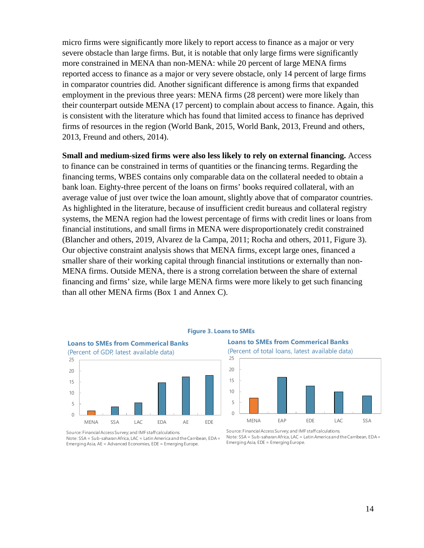micro firms were significantly more likely to report access to finance as a major or very severe obstacle than large firms. But, it is notable that only large firms were significantly more constrained in MENA than non-MENA: while 20 percent of large MENA firms reported access to finance as a major or very severe obstacle, only 14 percent of large firms in comparator countries did. Another significant difference is among firms that expanded employment in the previous three years: MENA firms (28 percent) were more likely than their counterpart outside MENA (17 percent) to complain about access to finance. Again, this is consistent with the literature which has found that limited access to finance has deprived firms of resources in the region (World Bank, 2015, World Bank, 2013, Freund and others, 2013, Freund and others, 2014).

**Small and medium-sized firms were also less likely to rely on external financing.** Access to finance can be constrained in terms of quantities or the financing terms. Regarding the financing terms, WBES contains only comparable data on the collateral needed to obtain a bank loan. Eighty-three percent of the loans on firms' books required collateral, with an average value of just over twice the loan amount, slightly above that of comparator countries. As highlighted in the literature, because of insufficient credit bureaus and collateral registry systems, the MENA region had the lowest percentage of firms with credit lines or loans from financial institutions, and small firms in MENA were disproportionately credit constrained (Blancher and others, 2019, Alvarez de la Campa, 2011; Rocha and others, 2011, Figure 3). Our objective constraint analysis shows that MENA firms, except large ones, financed a smaller share of their working capital through financial institutions or externally than non-MENA firms. Outside MENA, there is a strong correlation between the share of external financing and firms' size, while large MENA firms were more likely to get such financing than all other MENA firms (Box 1 and Annex C).



#### **Figure 3. Loans to SMEs**

**Loans to SMEs from Commerical Banks** (Percent of total loans, latest available data)



Source: FinancialAccess Survey; and IMF staff calculations. Note: SSA = Sub-saharan Africa, LAC = Latin America and the Carribean, EDA = Emerging Asia, EDE = Emerging Europe.

Source: FinancialAccess Survey; and IMF staff calculations. Note: SSA = Sub-saharan Africa, LAC = Latin America and the Carribean, EDA = Emerging Asia, AE = Advanced Economies, EDE = Emerging Europe.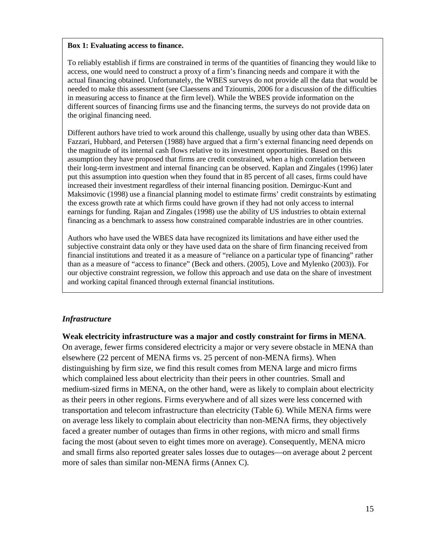#### **Box 1: Evaluating access to finance.**

To reliably establish if firms are constrained in terms of the quantities of financing they would like to access, one would need to construct a proxy of a firm's financing needs and compare it with the actual financing obtained. Unfortunately, the WBES surveys do not provide all the data that would be needed to make this assessment (see Claessens and Tzioumis, 2006 for a discussion of the difficulties in measuring access to finance at the firm level). While the WBES provide information on the different sources of financing firms use and the financing terms, the surveys do not provide data on the original financing need.

Different authors have tried to work around this challenge, usually by using other data than WBES. Fazzari, Hubbard, and Petersen (1988) have argued that a firm's external financing need depends on the magnitude of its internal cash flows relative to its investment opportunities. Based on this assumption they have proposed that firms are credit constrained, when a high correlation between their long-term investment and internal financing can be observed. Kaplan and Zingales (1996) later put this assumption into question when they found that in 85 percent of all cases, firms could have increased their investment regardless of their internal financing position. Demirguc-Kunt and Maksimovic (1998) use a financial planning model to estimate firms' credit constraints by estimating the excess growth rate at which firms could have grown if they had not only access to internal earnings for funding. Rajan and Zingales (1998) use the ability of US industries to obtain external financing as a benchmark to assess how constrained comparable industries are in other countries.

Authors who have used the WBES data have recognized its limitations and have either used the subjective constraint data only or they have used data on the share of firm financing received from financial institutions and treated it as a measure of "reliance on a particular type of financing" rather than as a measure of "access to finance" (Beck and others. (2005), Love and Mylenko (2003)). For our objective constraint regression, we follow this approach and use data on the share of investment and working capital financed through external financial institutions.

#### *Infrastructure*

**Weak electricity infrastructure was a major and costly constraint for firms in MENA**. On average, fewer firms considered electricity a major or very severe obstacle in MENA than elsewhere (22 percent of MENA firms vs. 25 percent of non-MENA firms). When distinguishing by firm size, we find this result comes from MENA large and micro firms which complained less about electricity than their peers in other countries. Small and medium-sized firms in MENA, on the other hand, were as likely to complain about electricity as their peers in other regions. Firms everywhere and of all sizes were less concerned with transportation and telecom infrastructure than electricity (Table 6). While MENA firms were on average less likely to complain about electricity than non-MENA firms, they objectively faced a greater number of outages than firms in other regions, with micro and small firms facing the most (about seven to eight times more on average). Consequently, MENA micro and small firms also reported greater sales losses due to outages—on average about 2 percent more of sales than similar non-MENA firms (Annex C).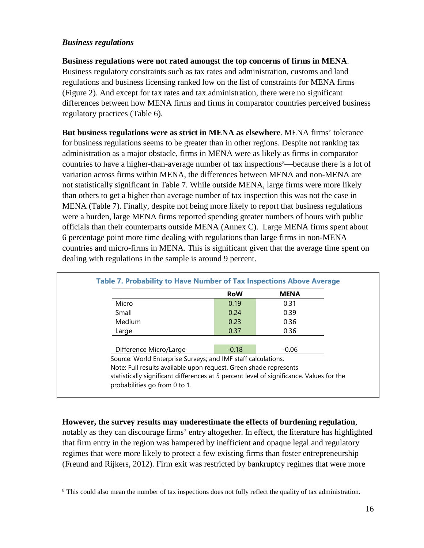#### *Business regulations*

**Business regulations were not rated amongst the top concerns of firms in MENA**.

Business regulatory constraints such as tax rates and administration, customs and land regulations and business licensing ranked low on the list of constraints for MENA firms (Figure 2). And except for tax rates and tax administration, there were no significant differences between how MENA firms and firms in comparator countries perceived business regulatory practices (Table 6).

**But business regulations were as strict in MENA as elsewhere**. MENA firms' tolerance for business regulations seems to be greater than in other regions. Despite not ranking tax administration as a major obstacle, firms in MENA were as likely as firms in comparator countries to have a higher-than-average number of tax inspections<sup>[8](#page-15-0)</sup>—because there is a lot of variation across firms within MENA, the differences between MENA and non-MENA are not statistically significant in Table 7. While outside MENA, large firms were more likely than others to get a higher than average number of tax inspection this was not the case in MENA (Table 7). Finally, despite not being more likely to report that business regulations were a burden, large MENA firms reported spending greater numbers of hours with public officials than their counterparts outside MENA (Annex C). Large MENA firms spent about 6 percentage point more time dealing with regulations than large firms in non-MENA countries and micro-firms in MENA. This is significant given that the average time spent on dealing with regulations in the sample is around 9 percent.

|                                                                   |         | <b>MENA</b> |
|-------------------------------------------------------------------|---------|-------------|
| Micro                                                             | 0.19    | 0.31        |
| Small                                                             | 0.24    | 0.39        |
| Medium                                                            | 0.23    | 0.36        |
| Large                                                             | 0.37    | 0.36        |
|                                                                   |         |             |
| Difference Micro/Large                                            | $-0.18$ | $-0.06$     |
| Source: World Enterprise Surveys; and IMF staff calculations.     |         |             |
| Note: Full results available upon request. Green shade represents |         |             |

#### **However, the survey results may underestimate the effects of burdening regulation**,

notably as they can discourage firms' entry altogether. In effect, the literature has highlighted that firm entry in the region was hampered by inefficient and opaque legal and regulatory regimes that were more likely to protect a few existing firms than foster entrepreneurship (Freund and Rijkers, 2012). Firm exit was restricted by bankruptcy regimes that were more

<span id="page-15-0"></span><sup>&</sup>lt;sup>8</sup> This could also mean the number of tax inspections does not fully reflect the quality of tax administration.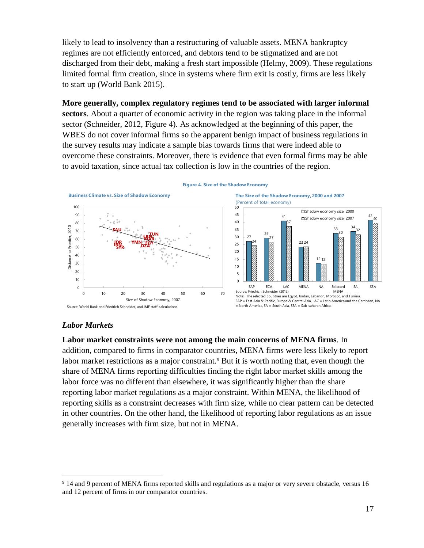likely to lead to insolvency than a restructuring of valuable assets. MENA bankruptcy regimes are not efficiently enforced, and debtors tend to be stigmatized and are not discharged from their debt, making a fresh start impossible (Helmy, 2009). These regulations limited formal firm creation, since in systems where firm exit is costly, firms are less likely to start up (World Bank 2015).

**More generally, complex regulatory regimes tend to be associated with larger informal sectors**. About a quarter of economic activity in the region was taking place in the informal sector (Schneider, 2012, Figure 4). As acknowledged at the beginning of this paper, the WBES do not cover informal firms so the apparent benign impact of business regulations in the survey results may indicate a sample bias towards firms that were indeed able to overcome these constraints. Moreover, there is evidence that even formal firms may be able to avoid taxation, since actual tax collection is low in the countries of the region.



**Figure 4. Size of the Shadow Economy**

#### *Labor Markets*

**Labor market constraints were not among the main concerns of MENA firms**. In addition, compared to firms in comparator countries, MENA firms were less likely to report labor market restrictions as a major constraint.<sup>[9](#page-16-0)</sup> But it is worth noting that, even though the share of MENA firms reporting difficulties finding the right labor market skills among the labor force was no different than elsewhere, it was significantly higher than the share reporting labor market regulations as a major constraint. Within MENA, the likelihood of reporting skills as a constraint decreases with firm size, while no clear pattern can be detected in other countries. On the other hand, the likelihood of reporting labor regulations as an issue generally increases with firm size, but not in MENA.

<span id="page-16-0"></span> <sup>9</sup> 14 and 9 percent of MENA firms reported skills and regulations as a major or very severe obstacle, versus 16 and 12 percent of firms in our comparator countries.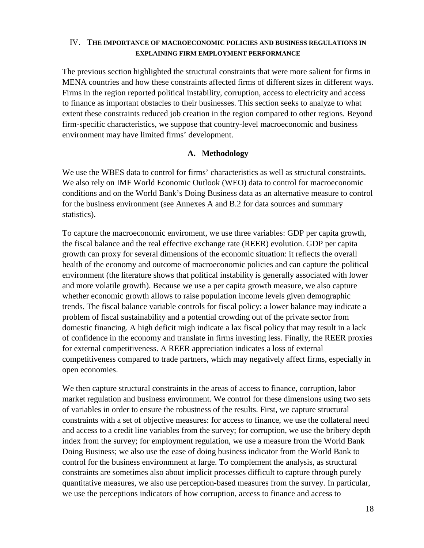#### IV. **THE IMPORTANCE OF MACROECONOMIC POLICIES AND BUSINESS REGULATIONS IN EXPLAINING FIRM EMPLOYMENT PERFORMANCE**

The previous section highlighted the structural constraints that were more salient for firms in MENA countries and how these constraints affected firms of different sizes in different ways. Firms in the region reported political instability, corruption, access to electricity and access to finance as important obstacles to their businesses. This section seeks to analyze to what extent these constraints reduced job creation in the region compared to other regions. Beyond firm-specific characteristics, we suppose that country-level macroeconomic and business environment may have limited firms' development.

#### **A. Methodology**

We use the WBES data to control for firms' characteristics as well as structural constraints. We also rely on IMF World Economic Outlook (WEO) data to control for macroeconomic conditions and on the World Bank's Doing Business data as an alternative measure to control for the business environment (see Annexes A and B.2 for data sources and summary statistics).

To capture the macroeconomic enviroment, we use three variables: GDP per capita growth, the fiscal balance and the real effective exchange rate (REER) evolution. GDP per capita growth can proxy for several dimensions of the economic situation: it reflects the overall health of the economy and outcome of macroeconomic policies and can capture the political environment (the literature shows that political instability is generally associated with lower and more volatile growth). Because we use a per capita growth measure, we also capture whether economic growth allows to raise population income levels given demographic trends. The fiscal balance variable controls for fiscal policy: a lower balance may indicate a problem of fiscal sustainability and a potential crowding out of the private sector from domestic financing. A high deficit migh indicate a lax fiscal policy that may result in a lack of confidence in the economy and translate in firms investing less. Finally, the REER proxies for external competitiveness. A REER appreciation indicates a loss of external competitiveness compared to trade partners, which may negatively affect firms, especially in open economies.

We then capture structural constraints in the areas of access to finance, corruption, labor market regulation and business environment. We control for these dimensions using two sets of variables in order to ensure the robustness of the results. First, we capture structural constraints with a set of objective measures: for access to finance, we use the collateral need and access to a credit line variables from the survey; for corruption, we use the bribery depth index from the survey; for employment regulation, we use a measure from the World Bank Doing Business; we also use the ease of doing business indicator from the World Bank to control for the business environmnent at large. To complement the analysis, as structural constraints are sometimes also about implicit processes difficult to capture through purely quantitative measures, we also use perception-based measures from the survey. In particular, we use the perceptions indicators of how corruption, access to finance and access to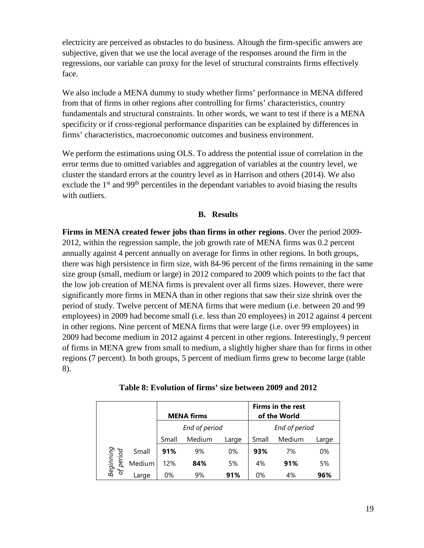electricity are perceived as obstacles to do business. Altough the firm-specific answers are subjective, given that we use the local average of the responses around the firm in the regressions, our variable can proxy for the level of structural constraints firms effectively face.

We also include a MENA dummy to study whether firms' performance in MENA differed from that of firms in other regions after controlling for firms' characteristics, country fundamentals and structural constraints. In other words, we want to test if there is a MENA specificity or if cross-regional performance disparities can be explained by differences in firms' characteristics, macroeconomic outcomes and business environment.

We perform the estimations using OLS. To address the potential issue of correlation in the error terms due to omitted variables and aggregation of variables at the country level, we cluster the standard errors at the country level as in Harrison and others (2014). We also exclude the  $1<sup>st</sup>$  and 99<sup>th</sup> percentiles in the dependant variables to avoid biasing the results with outliers.

#### **B. Results**

**Firms in MENA created fewer jobs than firms in other regions**. Over the period 2009- 2012, within the regression sample, the job growth rate of MENA firms was 0.2 percent annually against 4 percent annually on average for firms in other regions. In both groups, there was high persistence in firm size, with 84-96 percent of the firms remaining in the same size group (small, medium or large) in 2012 compared to 2009 which points to the fact that the low job creation of MENA firms is prevalent over all firms sizes. However, there were significantly more firms in MENA than in other regions that saw their size shrink over the period of study. Twelve percent of MENA firms that were medium (i.e. between 20 and 99 employees) in 2009 had become small (i.e. less than 20 employees) in 2012 against 4 percent in other regions. Nine percent of MENA firms that were large (i.e. over 99 employees) in 2009 had become medium in 2012 against 4 percent in other regions. Interestingly, 9 percent of firms in MENA grew from small to medium, a slightly higher share than for firms in other regions (7 percent). In both groups, 5 percent of medium firms grew to become large (table 8).

|                        |        |       | <b>MENA firms</b> |       |       | Firms in the rest<br>of the World |       |
|------------------------|--------|-------|-------------------|-------|-------|-----------------------------------|-------|
|                        |        |       | End of period     |       |       | End of period                     |       |
|                        |        | Small | Medium            | Large | Small | Medium                            | Large |
|                        | Small  | 91%   | 9%                | 0%    | 93%   | 7%                                | 0%    |
| Beginning<br>of period | Medium | 12%   | 84%               | 5%    | 4%    | 91%                               | 5%    |
| $\sigma$               | Large  | 0%    | 9%                | 91%   | 0%    | 4%                                | 96%   |

| Table 8: Evolution of firms' size between 2009 and 2012 |
|---------------------------------------------------------|
|---------------------------------------------------------|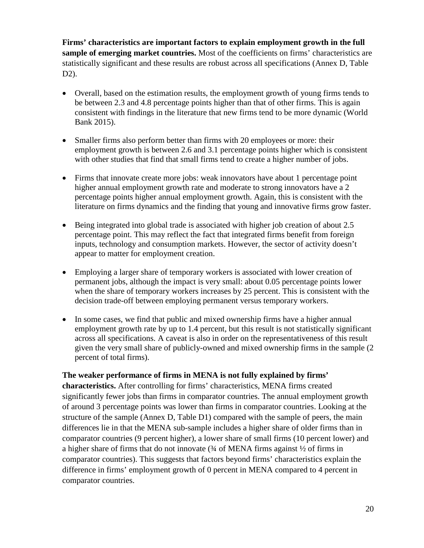**Firms' characteristics are important factors to explain employment growth in the full sample of emerging market countries.** Most of the coefficients on firms' characteristics are statistically significant and these results are robust across all specifications (Annex D, Table D2).

- Overall, based on the estimation results, the employment growth of young firms tends to be between 2.3 and 4.8 percentage points higher than that of other firms. This is again consistent with findings in the literature that new firms tend to be more dynamic (World Bank 2015).
- Smaller firms also perform better than firms with 20 employees or more: their employment growth is between 2.6 and 3.1 percentage points higher which is consistent with other studies that find that small firms tend to create a higher number of jobs.
- Firms that innovate create more jobs: weak innovators have about 1 percentage point higher annual employment growth rate and moderate to strong innovators have a 2 percentage points higher annual employment growth. Again, this is consistent with the literature on firms dynamics and the finding that young and innovative firms grow faster.
- Being integrated into global trade is associated with higher job creation of about 2.5 percentage point. This may reflect the fact that integrated firms benefit from foreign inputs, technology and consumption markets. However, the sector of activity doesn't appear to matter for employment creation.
- Employing a larger share of temporary workers is associated with lower creation of permanent jobs, although the impact is very small: about 0.05 percentage points lower when the share of temporary workers increases by 25 percent. This is consistent with the decision trade-off between employing permanent versus temporary workers.
- In some cases, we find that public and mixed ownership firms have a higher annual employment growth rate by up to 1.4 percent, but this result is not statistically significant across all specifications. A caveat is also in order on the representativeness of this result given the very small share of publicly-owned and mixed ownership firms in the sample (2 percent of total firms).

#### **The weaker performance of firms in MENA is not fully explained by firms'**

**characteristics.** After controlling for firms' characteristics, MENA firms created significantly fewer jobs than firms in comparator countries. The annual employment growth of around 3 percentage points was lower than firms in comparator countries. Looking at the structure of the sample (Annex D, Table D1) compared with the sample of peers, the main differences lie in that the MENA sub-sample includes a higher share of older firms than in comparator countries (9 percent higher), a lower share of small firms (10 percent lower) and a higher share of firms that do not innovate  $(34 \text{ of MENA}$  firms against  $\frac{1}{2}$  of firms in comparator countries). This suggests that factors beyond firms' characteristics explain the difference in firms' employment growth of 0 percent in MENA compared to 4 percent in comparator countries.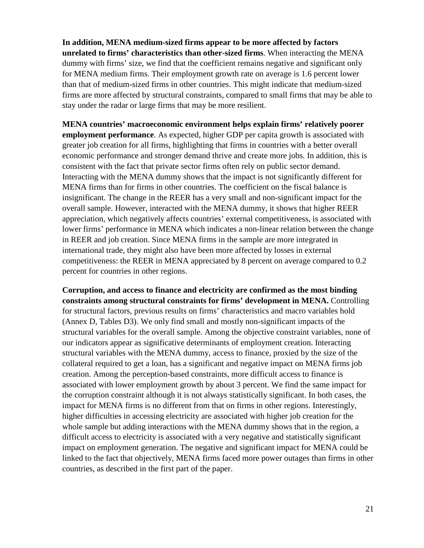**In addition, MENA medium-sized firms appear to be more affected by factors unrelated to firms' characteristics than other-sized firms**. When interacting the MENA dummy with firms' size, we find that the coefficient remains negative and significant only for MENA medium firms. Their employment growth rate on average is 1.6 percent lower than that of medium-sized firms in other countries. This might indicate that medium-sized firms are more affected by structural constraints, compared to small firms that may be able to stay under the radar or large firms that may be more resilient.

**MENA countries' macroeconomic environment helps explain firms' relatively poorer employment performance**. As expected, higher GDP per capita growth is associated with greater job creation for all firms, highlighting that firms in countries with a better overall economic performance and stronger demand thrive and create more jobs. In addition, this is consistent with the fact that private sector firms often rely on public sector demand. Interacting with the MENA dummy shows that the impact is not significantly different for MENA firms than for firms in other countries. The coefficient on the fiscal balance is insignificant. The change in the REER has a very small and non-significant impact for the overall sample. However, interacted with the MENA dummy, it shows that higher REER appreciation, which negatively affects countries' external competitiveness, is associated with lower firms' performance in MENA which indicates a non-linear relation between the change in REER and job creation. Since MENA firms in the sample are more integrated in international trade, they might also have been more affected by losses in external competitiveness: the REER in MENA appreciated by 8 percent on average compared to 0.2 percent for countries in other regions.

**Corruption, and access to finance and electricity are confirmed as the most binding constraints among structural constraints for firms' development in MENA.** Controlling for structural factors, previous results on firms' characteristics and macro variables hold (Annex D, Tables D3). We only find small and mostly non-significant impacts of the structural variables for the overall sample. Among the objective constraint variables, none of our indicators appear as significative determinants of employment creation. Interacting structural variables with the MENA dummy, access to finance, proxied by the size of the collateral required to get a loan, has a significant and negative impact on MENA firms job creation. Among the perception-based constraints, more difficult access to finance is associated with lower employment growth by about 3 percent. We find the same impact for the corruption constraint although it is not always statistically significant. In both cases, the impact for MENA firms is no different from that on firms in other regions. Interestingly, higher difficulties in accessing electricity are associated with higher job creation for the whole sample but adding interactions with the MENA dummy shows that in the region, a difficult access to electricity is associated with a very negative and statistically significant impact on employment generation. The negative and significant impact for MENA could be linked to the fact that objectively, MENA firms faced more power outages than firms in other countries, as described in the first part of the paper.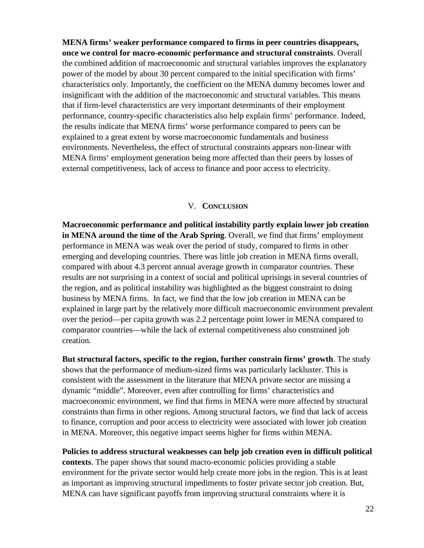**MENA firms' weaker performance compared to firms in peer countries disappears, once we control for macro-economic performance and structural constraints**. Overall the combined addition of macroeconomic and structural variables improves the explanatory power of the model by about 30 percent compared to the initial specification with firms' characteristics only. Importantly, the coefficient on the MENA dummy becomes lower and insignificant with the addition of the macroeconomic and structural variables. This means that if firm-level characteristics are very important determinants of their employment performance, country-specific characteristics also help explain firms' performance. Indeed, the results indicate that MENA firms' worse performance compared to peers can be explained to a great extent by worse macroeconomic fundamentals and business environments. Nevertheless, the effect of structural constraints appears non-linear with MENA firms' employment generation being more affected than their peers by losses of external competitiveness, lack of access to finance and poor access to electricity.

#### V. **CONCLUSION**

**Macroeconomic performance and political instability partly explain lower job creation in MENA around the time of the Arab Spring**. Overall, we find that firms' employment performance in MENA was weak over the period of study, compared to firms in other emerging and developing countries. There was little job creation in MENA firms overall, compared with about 4.3 percent annual average growth in comparator countries. These results are not surprising in a context of social and political uprisings in several countries of the region, and as political instability was highlighted as the biggest constraint to doing business by MENA firms. In fact, we find that the low job creation in MENA can be explained in large part by the relatively more difficult macroeconomic environment prevalent over the period—per capita growth was 2.2 percentage point lower in MENA compared to comparator countries—while the lack of external competitiveness also constrained job creation.

**But structural factors, specific to the region, further constrain firms' growth**. The study shows that the performance of medium-sized firms was particularly lackluster. This is consistent with the assessment in the literature that MENA private sector are missing a dynamic "middle". Moreover, even after controlling for firms' characteristics and macroeconomic environment, we find that firms in MENA were more affected by structural constraints than firms in other regions. Among structural factors, we find that lack of access to finance, corruption and poor access to electricity were associated with lower job creation in MENA. Moreover, this negative impact seems higher for firms within MENA.

**Policies to address structural weaknesses can help job creation even in difficult political contexts**. The paper shows that sound macro-economic policies providing a stable environment for the private sector would help create more jobs in the region. This is at least as important as improving structural impediments to foster private sector job creation. But, MENA can have significant payoffs from improving structural constraints where it is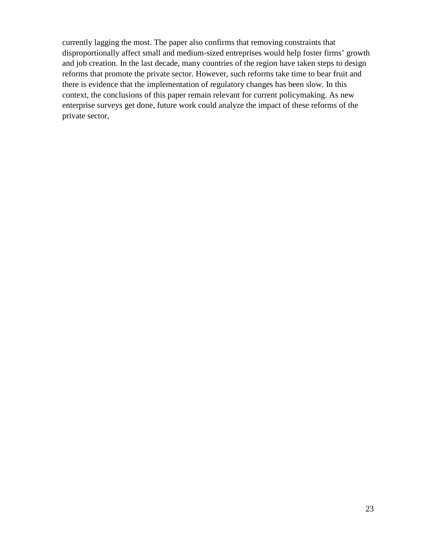currently lagging the most. The paper also confirms that removing constraints that disproportionally affect small and medium-sized entreprises would help foster firms' growth and job creation. In the last decade, many countries of the region have taken steps to design reforms that promote the private sector. However, such reforms take time to bear fruit and there is evidence that the implementation of regulatory changes has been slow. In this context, the conclusions of this paper remain relevant for current policymaking. As new enterprise surveys get done, future work could analyze the impact of these reforms of the private sector,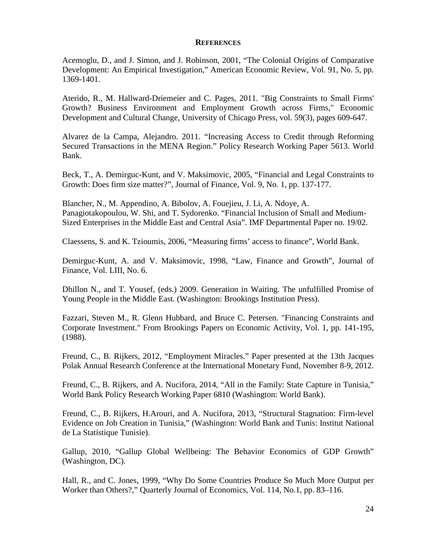#### **REFERENCES**

Acemoglu, D., and J. Simon, and J. Robinson, 2001, "The Colonial Origins of Comparative Development: An Empirical Investigation," American Economic Review, Vol. 91, No. 5, pp. 1369-1401.

Aterido, R., M. Hallward-Driemeier and C. Pages, 2011. "Big Constraints to Small Firms' Growth? Business Environment and Employment Growth across Firms," Economic Development and Cultural Change, University of Chicago Press, vol. 59(3), pages 609-647.

Alvarez de la Campa, Alejandro. 2011. "Increasing Access to Credit through Reforming Secured Transactions in the MENA Region." Policy Research Working Paper 5613. World Bank.

Beck, T., A. Demirguc-Kunt, and V. Maksimovic, 2005, "Financial and Legal Constraints to Growth: Does firm size matter?", Journal of Finance, Vol. 9, No. 1, pp. 137-177.

Blancher, N., M. Appendino, A. Bibolov, A. Fouejieu, J. Li, A. Ndoye, A. Panagiotakopoulou, W. Shi, and T. Sydorenko. "Financial Inclusion of Small and Medium-Sized Enterprises in the Middle East and Central Asia". IMF Departmental Paper no. 19/02.

Claessens, S. and K. Tzioumis, 2006, "Measuring firms' access to finance", World Bank.

Demirguc-Kunt, A. and V. Maksimovic, 1998, "Law, Finance and Growth", Journal of Finance, Vol. LIII, No. 6.

Dhillon N., and T. Yousef, (eds.) 2009. Generation in Waiting. The unfulfilled Promise of Young People in the Middle East. (Washington: Brookings Institution Press).

Fazzari, Steven M., R. Glenn Hubbard, and Bruce C. Petersen. "Financing Constraints and Corporate Investment." From Brookings Papers on Economic Activity, Vol. 1, pp. 141-195, (1988).

Freund, C., B. Rijkers, 2012, "Employment Miracles." Paper presented at the 13th Jacques Polak Annual Research Conference at the International Monetary Fund, November 8-9, 2012.

Freund, C., B. Rijkers, and A. Nucifora, 2014, "All in the Family: State Capture in Tunisia," World Bank Policy Research Working Paper 6810 (Washington: World Bank).

Freund, C., B. Rijkers, H.Arouri, and A. Nucifora, 2013, "Structural Stagnation: Firm-level Evidence on Job Creation in Tunisia," (Washington: World Bank and Tunis: Institut National de La Statistique Tunisie).

Gallup, 2010, "Gallup Global Wellbeing: The Behavior Economics of GDP Growth" (Washington, DC).

Hall, R., and C. Jones, 1999, "Why Do Some Countries Produce So Much More Output per Worker than Others?," Quarterly Journal of Economics, Vol. 114, No.1, pp. 83–116.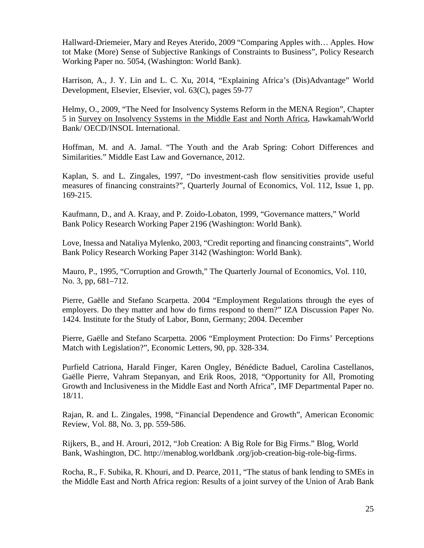Hallward-Driemeier, Mary and Reyes Aterido, 2009 "Comparing Apples with… Apples. How tot Make (More) Sense of Subjective Rankings of Constraints to Business", Policy Research Working Paper no. 5054, (Washington: World Bank).

Harrison, A., J. Y. Lin and L. C. Xu, 2014, "Explaining Africa's (Dis)Advantage" World Development, Elsevier, Elsevier, vol. 63(C), pages 59-77

Helmy, O., 2009, "The Need for Insolvency Systems Reform in the MENA Region", Chapter 5 in Survey on Insolvency Systems in the Middle East and North Africa, Hawkamah/World Bank/ OECD/INSOL International.

Hoffman, M. and A. Jamal. ["The Youth and the Arab Spring: Cohort Differences and](http://mthoffma.mycpanel.princeton.edu/Hoffman_Jamal_MELG.pdf)  [Similarities.](http://mthoffma.mycpanel.princeton.edu/Hoffman_Jamal_MELG.pdf)" Middle East Law and Governance, 2012.

Kaplan, S. and L. Zingales, 1997, "Do investment-cash flow sensitivities provide useful measures of financing constraints?", Quarterly Journal of Economics, Vol. 112, Issue 1, pp. 169-215.

Kaufmann, D., and A. Kraay, and P. Zoido-Lobaton, 1999, "Governance matters," World Bank Policy Research Working Paper 2196 (Washington: World Bank).

Love, Inessa and Nataliya Mylenko, 2003, "Credit reporting and financing constraints", World Bank Policy Research Working Paper 3142 (Washington: World Bank).

Mauro, P., 1995, "Corruption and Growth," The Quarterly Journal of Economics, Vol. 110, No. 3, pp, 681–712.

Pierre, Gaëlle and Stefano Scarpetta. 2004 "Employment Regulations through the eyes of employers. Do they matter and how do firms respond to them?" IZA Discussion Paper No. 1424. Institute for the Study of Labor, Bonn, Germany; 2004. December

Pierre, Gaëlle and Stefano Scarpetta. 2006 "Employment Protection: Do Firms' Perceptions Match with Legislation?", Economic Letters, 90, pp. 328-334.

Purfield Catriona, Harald Finger, Karen Ongley, Bénédicte Baduel, Carolina Castellanos, Gaëlle Pierre, Vahram Stepanyan, and Erik Roos, 2018, "Opportunity for All, Promoting Growth and Inclusiveness in the Middle East and North Africa", IMF Departmental Paper no. 18/11.

Rajan, R. and L. Zingales, 1998, "Financial Dependence and Growth", American Economic Review, Vol. 88, No. 3, pp. 559-586.

Rijkers, B., and H. Arouri, 2012, "Job Creation: A Big Role for Big Firms." Blog, World Bank, Washington, DC. http://menablog.worldbank .org/job-creation-big-role-big-firms.

Rocha, R., F. Subika, R. Khouri, and D. Pearce, 2011, "The status of bank lending to SMEs in the Middle East and North Africa region: Results of a joint survey of the Union of Arab Bank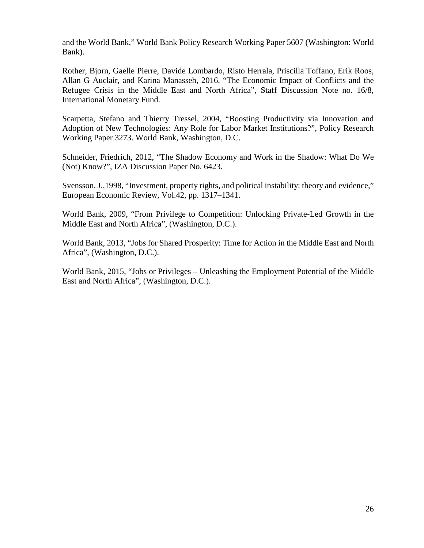and the World Bank," World Bank Policy Research Working Paper 5607 (Washington: World Bank).

Rother, Bjorn, Gaelle Pierre, Davide Lombardo, Risto Herrala, Priscilla Toffano, Erik Roos, Allan G Auclair, and Karina Manasseh, 2016, "The Economic Impact of Conflicts and the Refugee Crisis in the Middle East and North Africa", Staff Discussion Note no. 16/8, International Monetary Fund.

Scarpetta, Stefano and Thierry Tressel, 2004, "Boosting Productivity via Innovation and Adoption of New Technologies: Any Role for Labor Market Institutions?", Policy Research Working Paper 3273. World Bank, Washington, D.C.

Schneider, Friedrich, 2012, "The Shadow Economy and Work in the Shadow: What Do We (Not) Know?", IZA Discussion Paper No. 6423.

Svensson. J.,1998, "Investment, property rights, and political instability: theory and evidence," European Economic Review, Vol.42, pp. 1317–1341.

World Bank, 2009, "From Privilege to Competition: Unlocking Private-Led Growth in the Middle East and North Africa", (Washington, D.C.).

World Bank, 2013, "Jobs for Shared Prosperity: Time for Action in the Middle East and North Africa", (Washington, D.C.).

World Bank, 2015, "Jobs or Privileges – Unleashing the Employment Potential of the Middle East and North Africa", (Washington, D.C.).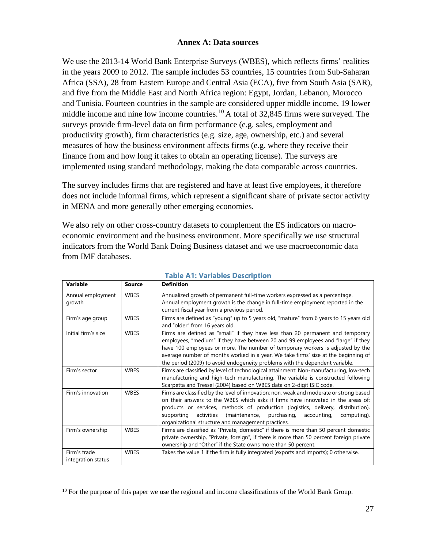#### **Annex A: Data sources**

We use the 2013-14 World Bank Enterprise Surveys (WBES), which reflects firms' realities in the years 2009 to 2012. The sample includes 53 countries, 15 countries from Sub-Saharan Africa (SSA), 28 from Eastern Europe and Central Asia (ECA), five from South Asia (SAR), and five from the Middle East and North Africa region: Egypt, Jordan, Lebanon, Morocco and Tunisia. Fourteen countries in the sample are considered upper middle income, 19 lower middle income and nine low income countries.<sup>[10](#page-26-0)</sup> A total of 32,845 firms were surveyed. The surveys provide firm-level data on firm performance (e.g. sales, employment and productivity growth), firm characteristics (e.g. size, age, ownership, etc.) and several measures of how the business environment affects firms (e.g. where they receive their finance from and how long it takes to obtain an operating license). The surveys are implemented using standard methodology, making the data comparable across countries.

The survey includes firms that are registered and have at least five employees, it therefore does not include informal firms, which represent a significant share of private sector activity in MENA and more generally other emerging economies.

We also rely on other cross-country datasets to complement the ES indicators on macroeconomic environment and the business environment. More specifically we use structural indicators from the World Bank Doing Business dataset and we use macroeconomic data from IMF databases.

| Variable                           | Source      | <b>Definition</b>                                                                                                                                                                                                                                                                                                                                                                                                          |
|------------------------------------|-------------|----------------------------------------------------------------------------------------------------------------------------------------------------------------------------------------------------------------------------------------------------------------------------------------------------------------------------------------------------------------------------------------------------------------------------|
| Annual employment<br>growth        | <b>WBES</b> | Annualized growth of permanent full-time workers expressed as a percentage.<br>Annual employment growth is the change in full-time employment reported in the<br>current fiscal year from a previous period.                                                                                                                                                                                                               |
| Firm's age group                   | <b>WBES</b> | Firms are defined as "young" up to 5 years old, "mature" from 6 years to 15 years old<br>and "older" from 16 years old.                                                                                                                                                                                                                                                                                                    |
| Initial firm's size                | <b>WBES</b> | Firms are defined as "small" if they have less than 20 permanent and temporary<br>employees, "medium" if they have between 20 and 99 employees and "large" if they<br>have 100 employees or more. The number of temporary workers is adjusted by the<br>average number of months worked in a year. We take firms' size at the beginning of<br>the period (2009) to avoid endogeneity problems with the dependent variable. |
| Firm's sector                      | <b>WBES</b> | Firms are classified by level of technological attainment: Non-manufacturing, low-tech<br>manufacturing and high-tech manufacturing. The variable is constructed following<br>Scarpetta and Tressel (2004) based on WBES data on 2-digit ISIC code.                                                                                                                                                                        |
| Firm's innovation                  | <b>WBES</b> | Firms are classified by the level of innovation: non, weak and moderate or strong based<br>on their answers to the WBES which asks if firms have innovated in the areas of:<br>products or services, methods of production (logistics, delivery, distribution),<br>purchasing,<br>activities<br>(maintenance,<br>accounting,<br>supporting<br>computing),<br>organizational structure and management practices.            |
| Firm's ownership                   | <b>WBES</b> | Firms are classified as "Private, domestic" if there is more than 50 percent domestic<br>private ownership, "Private, foreign", if there is more than 50 percent foreign private<br>ownership and "Other" if the State owns more than 50 percent.                                                                                                                                                                          |
| Firm's trade<br>integration status | <b>WBES</b> | Takes the value 1 if the firm is fully integrated (exports and imports); 0 otherwise.                                                                                                                                                                                                                                                                                                                                      |

#### **Table A1: Variables Description**

<span id="page-26-0"></span> $10$  For the purpose of this paper we use the regional and income classifications of the World Bank Group.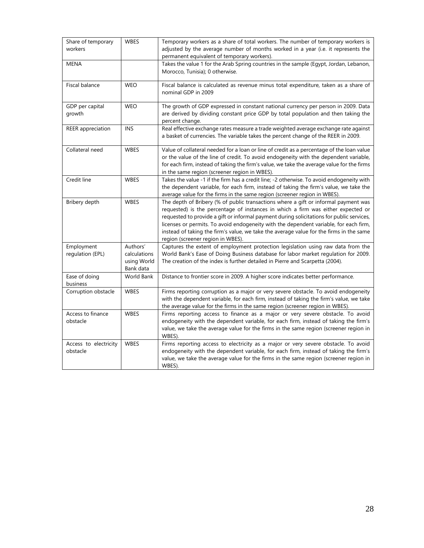| Share of temporary<br>workers     | <b>WBES</b>                                          | Temporary workers as a share of total workers. The number of temporary workers is<br>adjusted by the average number of months worked in a year (i.e. it represents the<br>permanent equivalent of temporary workers).                                                                                                                                                                                                                                                                         |
|-----------------------------------|------------------------------------------------------|-----------------------------------------------------------------------------------------------------------------------------------------------------------------------------------------------------------------------------------------------------------------------------------------------------------------------------------------------------------------------------------------------------------------------------------------------------------------------------------------------|
| <b>MENA</b>                       |                                                      | Takes the value 1 for the Arab Spring countries in the sample (Egypt, Jordan, Lebanon,<br>Morocco, Tunisia); 0 otherwise.                                                                                                                                                                                                                                                                                                                                                                     |
| Fiscal balance                    | <b>WEO</b>                                           | Fiscal balance is calculated as revenue minus total expenditure, taken as a share of<br>nominal GDP in 2009                                                                                                                                                                                                                                                                                                                                                                                   |
| GDP per capital<br>growth         | <b>WEO</b>                                           | The growth of GDP expressed in constant national currency per person in 2009. Data<br>are derived by dividing constant price GDP by total population and then taking the<br>percent change.                                                                                                                                                                                                                                                                                                   |
| REER appreciation                 | <b>INS</b>                                           | Real effective exchange rates measure a trade weighted average exchange rate against<br>a basket of currencies. The variable takes the percent change of the REER in 2009.                                                                                                                                                                                                                                                                                                                    |
| Collateral need                   | <b>WBES</b>                                          | Value of collateral needed for a loan or line of credit as a percentage of the loan value<br>or the value of the line of credit. To avoid endogeneity with the dependent variable,<br>for each firm, instead of taking the firm's value, we take the average value for the firms<br>in the same region (screener region in WBES).                                                                                                                                                             |
| Credit line                       | <b>WBES</b>                                          | Takes the value -1 if the firm has a credit line; -2 otherwise. To avoid endogeneity with<br>the dependent variable, for each firm, instead of taking the firm's value, we take the<br>average value for the firms in the same region (screener region in WBES).                                                                                                                                                                                                                              |
| Bribery depth                     | <b>WBES</b>                                          | The depth of Bribery (% of public transactions where a gift or informal payment was<br>requested) is the percentage of instances in which a firm was either expected or<br>requested to provide a gift or informal payment during solicitations for public services,<br>licenses or permits. To avoid endogeneity with the dependent variable, for each firm,<br>instead of taking the firm's value, we take the average value for the firms in the same<br>region (screener region in WBES). |
| Employment<br>regulation (EPL)    | Authors'<br>calculations<br>using World<br>Bank data | Captures the extent of employment protection legislation using raw data from the<br>World Bank's Ease of Doing Business database for labor market regulation for 2009.<br>The creation of the index is further detailed in Pierre and Scarpetta (2004).                                                                                                                                                                                                                                       |
| Ease of doing<br>business         | World Bank                                           | Distance to frontier score in 2009. A higher score indicates better performance.                                                                                                                                                                                                                                                                                                                                                                                                              |
| Corruption obstacle               | <b>WBES</b>                                          | Firms reporting corruption as a major or very severe obstacle. To avoid endogeneity<br>with the dependent variable, for each firm, instead of taking the firm's value, we take<br>the average value for the firms in the same region (screener region in WBES).                                                                                                                                                                                                                               |
| Access to finance<br>obstacle     | <b>WBES</b>                                          | Firms reporting access to finance as a major or very severe obstacle. To avoid<br>endogeneity with the dependent variable, for each firm, instead of taking the firm's<br>value, we take the average value for the firms in the same region (screener region in<br>WBES).                                                                                                                                                                                                                     |
| Access to electricity<br>obstacle | <b>WBES</b>                                          | Firms reporting access to electricity as a major or very severe obstacle. To avoid<br>endogeneity with the dependent variable, for each firm, instead of taking the firm's<br>value, we take the average value for the firms in the same region (screener region in<br>WBES).                                                                                                                                                                                                                 |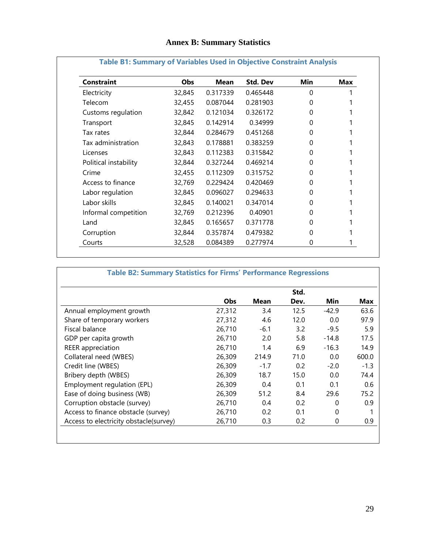### **Annex B: Summary Statistics**

| <b>Constraint</b>     | <b>Obs</b> | Mean     | <b>Std. Dev</b> | <b>Min</b> | <b>Max</b> |
|-----------------------|------------|----------|-----------------|------------|------------|
| Electricity           | 32,845     | 0.317339 | 0.465448        | 0          |            |
| Telecom               | 32,455     | 0.087044 | 0.281903        | 0          |            |
| Customs regulation    | 32,842     | 0.121034 | 0.326172        | 0          |            |
| Transport             | 32,845     | 0.142914 | 0.34999         | 0          |            |
| Tax rates             | 32,844     | 0.284679 | 0.451268        | 0          |            |
| Tax administration    | 32,843     | 0.178881 | 0.383259        | 0          |            |
| Licenses              | 32,843     | 0.112383 | 0.315842        | 0          |            |
| Political instability | 32,844     | 0.327244 | 0.469214        | 0          |            |
| Crime                 | 32,455     | 0.112309 | 0.315752        | 0          |            |
| Access to finance     | 32,769     | 0.229424 | 0.420469        | 0          |            |
| Labor regulation      | 32,845     | 0.096027 | 0.294633        | 0          |            |
| Labor skills          | 32,845     | 0.140021 | 0.347014        | O          |            |
| Informal competition  | 32,769     | 0.212396 | 0.40901         | 0          |            |
| Land                  | 32,845     | 0.165657 | 0.371778        | 0          |            |
| Corruption            | 32,844     | 0.357874 | 0.479382        | 0          |            |
| Courts                | 32,528     | 0.084389 | 0.277974        | 0          |            |

## **Table B1: Summary of Variables Used in Objective Constraint Analysis**

# **Table B2: Summary Statistics for Firms' Performance Regressions**

|                                        |            |        | Std. |              |            |
|----------------------------------------|------------|--------|------|--------------|------------|
|                                        | <b>Obs</b> | Mean   | Dev. | Min          | <b>Max</b> |
| Annual employment growth               | 27,312     | 3.4    | 12.5 | $-42.9$      | 63.6       |
| Share of temporary workers             | 27,312     | 4.6    | 12.0 | 0.0          | 97.9       |
| Fiscal balance                         | 26,710     | $-6.1$ | 3.2  | $-9.5$       | 5.9        |
| GDP per capita growth                  | 26,710     | 2.0    | 5.8  | $-14.8$      | 17.5       |
| <b>REER</b> appreciation               | 26,710     | 1.4    | 6.9  | $-16.3$      | 14.9       |
| Collateral need (WBES)                 | 26,309     | 214.9  | 71.0 | 0.0          | 600.0      |
| Credit line (WBES)                     | 26,309     | $-1.7$ | 0.2  | $-2.0$       | $-1.3$     |
| Bribery depth (WBES)                   | 26,309     | 18.7   | 15.0 | 0.0          | 74.4       |
| Employment regulation (EPL)            | 26,309     | 0.4    | 0.1  | 0.1          | 0.6        |
| Ease of doing business (WB)            | 26,309     | 51.2   | 8.4  | 29.6         | 75.2       |
| Corruption obstacle (survey)           | 26,710     | 0.4    | 0.2  | 0            | 0.9        |
| Access to finance obstacle (survey)    | 26,710     | 0.2    | 0.1  | $\mathbf{0}$ |            |
| Access to electricity obstacle(survey) | 26,710     | 0.3    | 0.2  | 0            | 0.9        |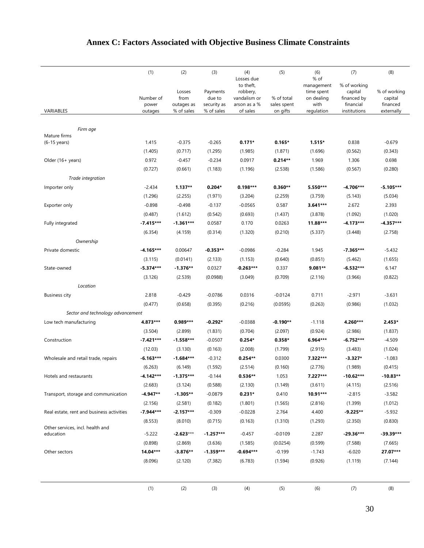|                                               | (1)                | (2)                          | (3)                               | (4)                                                                 | (5)                       | (6)                                                    | (7)                                                 | (8)                                 |
|-----------------------------------------------|--------------------|------------------------------|-----------------------------------|---------------------------------------------------------------------|---------------------------|--------------------------------------------------------|-----------------------------------------------------|-------------------------------------|
|                                               | Number of<br>power | Losses<br>from<br>outages as | Payments<br>due to<br>security as | Losses due<br>to theft,<br>robbery,<br>vandalism or<br>arson as a % | % of total<br>sales spent | % of<br>management<br>time spent<br>on dealing<br>with | % of working<br>capital<br>financed by<br>financial | % of working<br>capital<br>financed |
| VARIABLES                                     | outages            | % of sales                   | % of sales                        | of sales                                                            | on gifts                  | regulation                                             | institutions                                        | externally                          |
|                                               |                    |                              |                                   |                                                                     |                           |                                                        |                                                     |                                     |
| Firm age<br>Mature firms                      |                    |                              |                                   |                                                                     |                           |                                                        |                                                     |                                     |
| $(6-15 \text{ years})$                        | 1.415              | $-0.375$                     | $-0.265$                          | $0.171*$                                                            | $0.165*$                  | $1.515*$                                               | 0.838                                               | $-0.679$                            |
|                                               | (1.405)            | (0.717)                      | (1.295)                           | (1.985)                                                             | (1.871)                   | (1.696)                                                | (0.562)                                             | (0.343)                             |
| Older (16+ years)                             | 0.972              | $-0.457$                     | $-0.234$                          | 0.0917                                                              | $0.214**$                 | 1.969                                                  | 1.306                                               | 0.698                               |
|                                               | (0.727)            | (0.661)                      | (1.183)                           | (1.196)                                                             | (2.538)                   | (1.586)                                                | (0.567)                                             | (0.280)                             |
| Trade integration                             |                    |                              |                                   |                                                                     |                           |                                                        |                                                     |                                     |
| Importer only                                 | $-2.434$           | $1.137**$                    | $0.204*$                          | $0.198***$                                                          | $0.360**$                 | 5.550***                                               | $-4.706***$                                         | $-5.105***$                         |
|                                               | (1.296)            | (2.255)                      | (1.971)                           | (3.204)                                                             | (2.259)                   | (3.759)                                                | (5.143)                                             | (5.034)                             |
| Exporter only                                 | $-0.898$           | $-0.498$                     | $-0.137$                          | $-0.0565$                                                           | 0.587                     | 3.641***                                               | 2.672                                               | 2.393                               |
|                                               | (0.487)            | (1.612)                      | (0.542)                           | (0.693)                                                             | (1.437)                   | (3.878)                                                | (1.092)                                             | (1.020)                             |
| Fully integrated                              | $-7.415***$        | $-1.361***$                  | 0.0587                            | 0.170                                                               | 0.0263                    | 11.88***                                               | $-4.173***$                                         | $-4.357***$                         |
|                                               | (6.354)            | (4.159)                      | (0.314)                           | (1.320)                                                             | (0.210)                   | (5.337)                                                | (3.448)                                             | (2.758)                             |
| Ownership                                     |                    |                              |                                   |                                                                     |                           |                                                        |                                                     |                                     |
| Private domestic                              | $-4.165***$        | 0.00647                      | $-0.353**$                        | $-0.0986$                                                           | $-0.284$                  | 1.945                                                  | $-7.365***$                                         | $-5.432$                            |
|                                               | (3.115)            | (0.0141)                     | (2.133)                           | (1.153)                                                             | (0.640)                   | (0.851)                                                | (5.462)                                             | (1.655)                             |
| State-owned                                   | $-5.374***$        | $-1.376**$                   | 0.0327                            | $-0.263***$                                                         | 0.337                     | 9.081**                                                | $-6.532***$                                         | 6.147                               |
|                                               | (3.126)            | (2.539)                      | (0.0988)                          | (3.049)                                                             | (0.709)                   | (2.116)                                                | (3.966)                                             | (0.822)                             |
| Location                                      |                    |                              |                                   |                                                                     |                           |                                                        |                                                     |                                     |
| <b>Business city</b>                          | 2.818              | $-0.429$                     | $-0.0786$                         | 0.0316                                                              | $-0.0124$                 | 0.711                                                  | $-2.971$                                            | $-3.631$                            |
|                                               | (0.477)            | (0.658)                      | (0.395)                           | (0.216)                                                             | (0.0595)                  | (0.263)                                                | (0.986)                                             | (1.032)                             |
| Sector and technology advancement             |                    |                              |                                   |                                                                     |                           |                                                        |                                                     |                                     |
| Low tech manufacturing                        | 4.873***           | 0.989***                     | $-0.292*$                         | $-0.0388$                                                           | $-0.190**$                | $-1.118$                                               | 4.260***                                            | $2.453*$                            |
|                                               | (3.504)            | (2.899)                      | (1.831)                           | (0.704)                                                             | (2.097)                   | (0.924)                                                | (2.986)                                             | (1.837)                             |
| Construction                                  | $-7.421***$        | $-1.558***$                  | $-0.0507$                         | $0.254*$                                                            | $0.358*$                  | 6.964***                                               | $-6.752***$                                         | $-4.509$                            |
|                                               | (12.03)            | (3.130)                      | (0.163)                           | (2.008)                                                             | (1.799)                   | (2.915)                                                | (3.483)                                             | (1.024)                             |
| Wholesale and retail trade, repairs           | $-6.163***$        | $-1.684***$                  | $-0.312$                          | $0.254**$                                                           | 0.0300                    | 7.322***                                               | $-3.327*$                                           | $-1.083$                            |
|                                               | (6.263)            | (6.149)                      | (1.592)                           | (2.514)                                                             | (0.160)                   | (2.776)                                                | (1.989)                                             | (0.415)                             |
| Hotels and restaurants                        | $-4.142***$        | $-1.375***$                  | $-0.144$                          | $0.536**$                                                           | 1.053                     | 7.227***                                               | $-10.62***$                                         | $-10.83**$                          |
|                                               | (2.683)            | (3.124)                      | (0.588)                           | (2.130)                                                             | (1.149)                   | (3.611)                                                | (4.115)                                             | (2.516)                             |
| Transport, storage and communication          | $-4.947**$         | $-1.305**$                   | $-0.0879$                         | $0.231*$                                                            | 0.410                     | 10.91***                                               | $-2.815$                                            | $-3.582$                            |
|                                               | (2.156)            | (2.581)                      | (0.182)                           | (1.801)                                                             | (1.565)                   | (2.816)                                                | (1.399)                                             | (1.012)                             |
| Real estate, rent and business activities     | $-7.944***$        | $-2.157***$                  | $-0.309$                          | $-0.0228$                                                           | 2.764                     | 4.400                                                  | $-9.225**$                                          | $-5.932$                            |
|                                               | (8.553)            | (8.010)                      | (0.715)                           | (0.163)                                                             | (1.310)                   | (1.293)                                                | (2.350)                                             | (0.830)                             |
| Other services, incl. health and<br>education | $-5.222$           | $-2.623***$                  | $-1.257***$                       | $-0.457$                                                            | $-0.0109$                 | 2.287                                                  | -29.36***                                           | -39.39***                           |
|                                               | (0.898)            | (2.869)                      | (3.636)                           | (1.585)                                                             | (0.0254)                  | (0.599)                                                | (7.588)                                             | (7.665)                             |
| Other sectors                                 | 14.04***           | $-3.876**$                   | $-1.359***$                       | $-0.694***$                                                         | $-0.199$                  | $-1.743$                                               | $-6.020$                                            | 27.07***                            |
|                                               | (8.096)            | (2.120)                      | (7.382)                           | (6.783)                                                             | (1.594)                   | (0.926)                                                | (1.119)                                             | (7.144)                             |
|                                               |                    |                              |                                   |                                                                     |                           |                                                        |                                                     |                                     |
|                                               |                    |                              |                                   |                                                                     |                           |                                                        |                                                     |                                     |
|                                               | (1)                | (2)                          | (3)                               | (4)                                                                 | (5)                       | (6)                                                    | (7)                                                 | (8)                                 |

# **Annex C: Factors Associated with Objective Business Climate Constraints**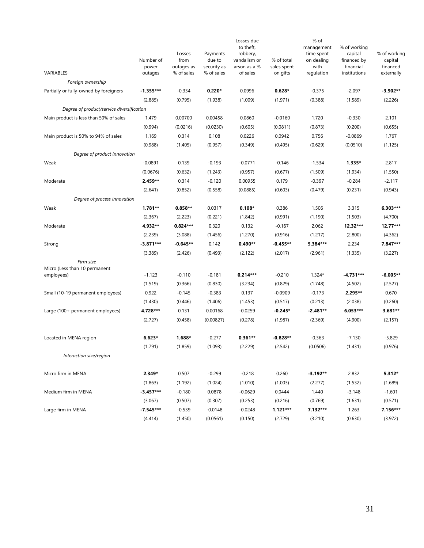|                                             | Number of        | Losses<br>from           | Payments<br>due to        | Losses due<br>to theft,<br>robbery,<br>vandalism or<br>arson as a % | % of total<br>sales spent | % of<br>management<br>time spent<br>on dealing<br>with | % of working<br>capital<br>financed by<br>financial | % of working<br>capital<br>financed |
|---------------------------------------------|------------------|--------------------------|---------------------------|---------------------------------------------------------------------|---------------------------|--------------------------------------------------------|-----------------------------------------------------|-------------------------------------|
| VARIABLES                                   | power<br>outages | outages as<br>% of sales | security as<br>% of sales | of sales                                                            | on gifts                  | regulation                                             | institutions                                        | externally                          |
| Foreign ownership                           |                  |                          |                           |                                                                     |                           |                                                        |                                                     |                                     |
| Partially or fully-owned by foreigners      | $-1.355***$      | $-0.334$                 | $0.220*$                  | 0.0996                                                              | $0.628*$                  | $-0.375$                                               | $-2.097$                                            | -3.902**                            |
|                                             | (2.885)          | (0.795)                  | (1.938)                   | (1.009)                                                             | (1.971)                   | (0.388)                                                | (1.589)                                             | (2.226)                             |
| Degree of product/service diversification   |                  |                          |                           |                                                                     |                           |                                                        |                                                     |                                     |
| Main product is less than 50% of sales      | 1.479            | 0.00700                  | 0.00458                   | 0.0860                                                              | $-0.0160$                 | 1.720                                                  | $-0.330$                                            | 2.101                               |
|                                             | (0.994)          | (0.0216)                 | (0.0230)                  | (0.605)                                                             | (0.0811)                  | (0.873)                                                | (0.200)                                             | (0.655)                             |
| Main product is 50% to 94% of sales         | 1.169            | 0.314                    | 0.108                     | 0.0226                                                              | 0.0942                    | 0.756                                                  | $-0.0869$                                           | 1.767                               |
|                                             | (0.988)          | (1.405)                  | (0.957)                   | (0.349)                                                             | (0.495)                   | (0.629)                                                | (0.0510)                                            | (1.125)                             |
| Degree of product innovation                |                  |                          |                           |                                                                     |                           |                                                        |                                                     |                                     |
| Weak                                        | $-0.0891$        | 0.139                    | $-0.193$                  | $-0.0771$                                                           | $-0.146$                  | $-1.534$                                               | $1.335*$                                            | 2.817                               |
|                                             | (0.0676)         | (0.632)                  | (1.243)                   | (0.957)                                                             | (0.677)                   | (1.509)                                                | (1.934)                                             | (1.550)                             |
| Moderate                                    | 2.459**          | 0.314                    | $-0.120$                  | 0.00955                                                             | 0.179                     | $-0.397$                                               | $-0.284$                                            | $-2.117$                            |
|                                             | (2.641)          | (0.852)                  | (0.558)                   | (0.0885)                                                            | (0.603)                   | (0.479)                                                | (0.231)                                             | (0.943)                             |
| Degree of process innovation                |                  |                          |                           |                                                                     |                           |                                                        |                                                     |                                     |
| Weak                                        | $1.781**$        | $0.858**$                | 0.0317                    | $0.108*$                                                            | 0.386                     | 1.506                                                  | 3.315                                               | 6.303***                            |
|                                             | (2.367)          | (2.223)                  | (0.221)                   | (1.842)                                                             | (0.991)                   | (1.190)                                                | (1.503)                                             | (4.700)                             |
| Moderate                                    | 4.932**          | $0.824***$               | 0.320                     | 0.132                                                               | $-0.167$                  | 2.062                                                  | 12.32***                                            | 12.77***                            |
|                                             | (2.239)          | (3.088)                  | (1.456)                   | (1.270)                                                             | (0.916)                   | (1.217)                                                | (2.800)                                             | (4.362)                             |
| Strong                                      | $-3.871***$      | $-0.645**$               | 0.142                     | $0.490**$                                                           | $-0.455**$                | 5.384***                                               | 2.234                                               | 7.847***                            |
|                                             | (3.389)          | (2.426)                  | (0.493)                   | (2.122)                                                             | (2.017)                   | (2.961)                                                | (1.335)                                             | (3.227)                             |
| Firm size                                   |                  |                          |                           |                                                                     |                           |                                                        |                                                     |                                     |
| Micro (Less than 10 permanent<br>employees) | $-1.123$         | $-0.110$                 | $-0.181$                  | $0.214***$                                                          | $-0.210$                  | $1.324*$                                               | $-4.731***$                                         | -6.005**                            |
|                                             | (1.519)          | (0.366)                  | (0.830)                   | (3.234)                                                             | (0.829)                   | (1.748)                                                | (4.502)                                             | (2.527)                             |
| Small (10-19 permanent employees)           | 0.922            | $-0.145$                 | $-0.383$                  | 0.137                                                               | $-0.0909$                 | $-0.173$                                               | 2.295**                                             | 0.670                               |
|                                             | (1.430)          | (0.446)                  | (1.406)                   | (1.453)                                                             | (0.517)                   | (0.213)                                                | (2.038)                                             | (0.260)                             |
| Large (100+ permanent employees)            | 4.728***         | 0.131                    | 0.00168                   | $-0.0259$                                                           | $-0.245*$                 | $-2.481**$                                             | 6.053***                                            | 3.681**                             |
|                                             | (2.727)          | (0.458)                  | (0.00827)                 | (0.278)                                                             | (1.987)                   | (2.369)                                                | (4.900)                                             | (2.157)                             |
|                                             |                  |                          |                           |                                                                     |                           |                                                        |                                                     |                                     |
| Located in MENA region                      | $6.623*$         | 1.688*                   | $-0.277$                  | $0.361**$                                                           | $-0.828**$                | $-0.363$                                               | $-7.130$                                            | $-5.829$                            |
|                                             | (1.791)          | (1.859)                  | (1.093)                   | (2.229)                                                             | (2.542)                   | (0.0506)                                               | (1.431)                                             | (0.976)                             |
| Interaction size/region                     |                  |                          |                           |                                                                     |                           |                                                        |                                                     |                                     |
| Micro firm in MENA                          | 2.349*           | 0.507                    | $-0.299$                  | $-0.218$                                                            | 0.260                     | $-3.192**$                                             | 2.832                                               | $5.312*$                            |
|                                             | (1.863)          | (1.192)                  | (1.024)                   | (1.010)                                                             | (1.003)                   | (2.277)                                                | (1.532)                                             | (1.689)                             |
| Medium firm in MENA                         | $-3.457***$      | $-0.180$                 | 0.0878                    | $-0.0629$                                                           | 0.0444                    | 1.440                                                  | $-3.148$                                            | $-1.601$                            |
|                                             | (3.067)          | (0.507)                  | (0.307)                   | (0.253)                                                             | (0.216)                   | (0.769)                                                | (1.631)                                             | (0.571)                             |
| Large firm in MENA                          | $-7.545***$      | $-0.539$                 | $-0.0148$                 | $-0.0248$                                                           | $1.121***$                | 7.132***                                               | 1.263                                               | 7.156***                            |
|                                             | (4.414)          | (1.450)                  | (0.0561)                  | (0.150)                                                             | (2.729)                   | (3.210)                                                | (0.630)                                             | (3.972)                             |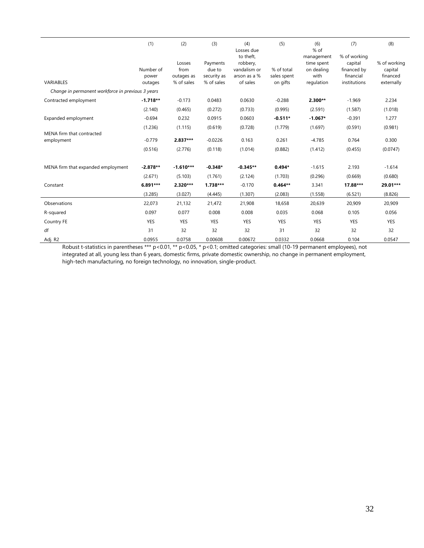|                                                   | (1)                           | (2)                                        | (3)                                             | (4)<br>Losses due                                                 | (5)                                   | (6)<br>$%$ of                                                | (7)                                                                 | (8)                                               |
|---------------------------------------------------|-------------------------------|--------------------------------------------|-------------------------------------------------|-------------------------------------------------------------------|---------------------------------------|--------------------------------------------------------------|---------------------------------------------------------------------|---------------------------------------------------|
| VARIABLES                                         | Number of<br>power<br>outages | Losses<br>from<br>outages as<br>% of sales | Payments<br>due to<br>security as<br>% of sales | to theft,<br>robbery,<br>vandalism or<br>arson as a %<br>of sales | % of total<br>sales spent<br>on gifts | management<br>time spent<br>on dealing<br>with<br>regulation | % of working<br>capital<br>financed by<br>financial<br>institutions | % of working<br>capital<br>financed<br>externally |
| Change in permanent workforce in previous 3 years |                               |                                            |                                                 |                                                                   |                                       |                                                              |                                                                     |                                                   |
| Contracted employment                             | $-1.718**$                    | $-0.173$                                   | 0.0483                                          | 0.0630                                                            | $-0.288$                              | 2.300**                                                      | $-1.969$                                                            | 2.234                                             |
|                                                   | (2.140)                       | (0.465)                                    | (0.272)                                         | (0.733)                                                           | (0.995)                               | (2.591)                                                      | (1.587)                                                             | (1.018)                                           |
| Expanded employment                               | $-0.694$                      | 0.232                                      | 0.0915                                          | 0.0603                                                            | $-0.511*$                             | $-1.067*$                                                    | $-0.391$                                                            | 1.277                                             |
|                                                   | (1.236)                       | (1.115)                                    | (0.619)                                         | (0.728)                                                           | (1.779)                               | (1.697)                                                      | (0.591)                                                             | (0.981)                                           |
| MENA firm that contracted<br>employment           | $-0.779$                      | 2.837***                                   | $-0.0226$                                       | 0.163                                                             | 0.261                                 | $-4.785$                                                     | 0.764                                                               | 0.300                                             |
|                                                   | (0.516)                       | (2.776)                                    | (0.118)                                         | (1.014)                                                           | (0.882)                               | (1.412)                                                      | (0.455)                                                             | (0.0747)                                          |
| MENA firm that expanded employment                | $-2.878**$                    | $-1.610***$                                | $-0.348*$                                       | $-0.345**$                                                        | $0.494*$                              | $-1.615$                                                     | 2.193                                                               | $-1.614$                                          |
|                                                   | (2.671)                       | (5.103)                                    | (1.761)                                         | (2.124)                                                           | (1.703)                               | (0.296)                                                      | (0.669)                                                             | (0.680)                                           |
| Constant                                          | 6.891***                      | 2.320***                                   | 1.738***                                        | $-0.170$                                                          | $0.464**$                             | 3.341                                                        | 17.88***                                                            | 29.01***                                          |
|                                                   | (3.285)                       | (3.027)                                    | (4.445)                                         | (1.307)                                                           | (2.083)                               | (1.558)                                                      | (6.521)                                                             | (8.826)                                           |
| Observations                                      | 22,073                        | 21,132                                     | 21,472                                          | 21,908                                                            | 18,658                                | 20,639                                                       | 20,909                                                              | 20,909                                            |
| R-squared                                         | 0.097                         | 0.077                                      | 0.008                                           | 0.008                                                             | 0.035                                 | 0.068                                                        | 0.105                                                               | 0.056                                             |
| Country FE                                        | YES                           | YES                                        | YES                                             | YES                                                               | YES                                   | YES                                                          | <b>YES</b>                                                          | YES                                               |
| df                                                | 31                            | 32                                         | 32                                              | 32                                                                | 31                                    | 32                                                           | 32                                                                  | 32                                                |
| Adj. R2                                           | 0.0955                        | 0.0758                                     | 0.00608                                         | 0.00672                                                           | 0.0332                                | 0.0668                                                       | 0.104                                                               | 0.0547                                            |

Robust t-statistics in parentheses \*\*\* p<0.01, \*\* p<0.05, \* p<0.1; omitted categories: small (10-19 permanent employees), not integrated at all, young less than 6 years, domestic firms, private domestic ownership, no change in permanent employment, high-tech manufacturing, no foreign technology, no innovation, single-product.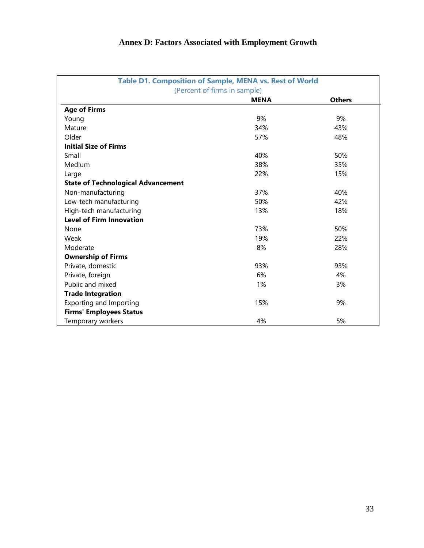## **Annex D: Factors Associated with Employment Growth**

|                                           | Table D1. Composition of Sample, MENA vs. Rest of World |               |  |  |  |  |  |  |
|-------------------------------------------|---------------------------------------------------------|---------------|--|--|--|--|--|--|
| (Percent of firms in sample)              |                                                         |               |  |  |  |  |  |  |
|                                           | <b>MENA</b>                                             | <b>Others</b> |  |  |  |  |  |  |
| <b>Age of Firms</b>                       |                                                         |               |  |  |  |  |  |  |
| Young                                     | 9%                                                      | 9%            |  |  |  |  |  |  |
| Mature                                    | 34%                                                     | 43%           |  |  |  |  |  |  |
| Older                                     | 57%                                                     | 48%           |  |  |  |  |  |  |
| <b>Initial Size of Firms</b>              |                                                         |               |  |  |  |  |  |  |
| Small                                     | 40%                                                     | 50%           |  |  |  |  |  |  |
| Medium                                    | 38%                                                     | 35%           |  |  |  |  |  |  |
| Large                                     | 22%                                                     | 15%           |  |  |  |  |  |  |
| <b>State of Technological Advancement</b> |                                                         |               |  |  |  |  |  |  |
| Non-manufacturing                         | 37%                                                     | 40%           |  |  |  |  |  |  |
| Low-tech manufacturing                    | 50%                                                     | 42%           |  |  |  |  |  |  |
| High-tech manufacturing                   | 13%                                                     | 18%           |  |  |  |  |  |  |
| <b>Level of Firm Innovation</b>           |                                                         |               |  |  |  |  |  |  |
| None                                      | 73%                                                     | 50%           |  |  |  |  |  |  |
| Weak                                      | 19%                                                     | 22%           |  |  |  |  |  |  |
| Moderate                                  | 8%                                                      | 28%           |  |  |  |  |  |  |
| <b>Ownership of Firms</b>                 |                                                         |               |  |  |  |  |  |  |
| Private, domestic                         | 93%                                                     | 93%           |  |  |  |  |  |  |
| Private, foreign                          | 6%                                                      | 4%            |  |  |  |  |  |  |
| Public and mixed                          | 1%                                                      | 3%            |  |  |  |  |  |  |
| <b>Trade Integration</b>                  |                                                         |               |  |  |  |  |  |  |
| Exporting and Importing                   | 15%                                                     | 9%            |  |  |  |  |  |  |
| <b>Firms' Employees Status</b>            |                                                         |               |  |  |  |  |  |  |
| Temporary workers                         | 4%                                                      | 5%            |  |  |  |  |  |  |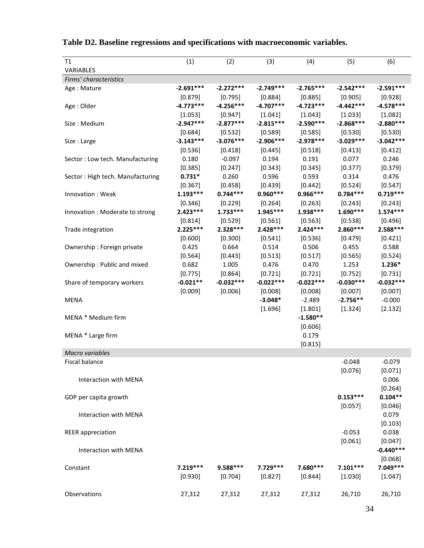| T1                               | (1)         | (2)         | (3)         | (4)         | (5)         | (6)         |
|----------------------------------|-------------|-------------|-------------|-------------|-------------|-------------|
| VARIABLES                        |             |             |             |             |             |             |
| Firms' characteristics           |             |             |             |             |             |             |
| Age: Mature                      | $-2.691***$ | $-2.272***$ | $-2.749***$ | $-2.765***$ | $-2.542***$ | $-2.591***$ |
|                                  | [0.879]     | [0.795]     | [0.884]     | [0.885]     | [0.905]     | [0.928]     |
| Age : Older                      | $-4.773***$ | $-4.256***$ | $-4.707***$ | $-4.723***$ | $-4.442***$ | $-4.578***$ |
|                                  | [1.053]     | [0.947]     | [1.041]     | [1.043]     | [1.033]     | [1.082]     |
| Size: Medium                     | $-2.947***$ | $-2.877***$ | $-2.815***$ | $-2.590***$ | $-2.868***$ | $-2.880***$ |
|                                  | [0.684]     | [0.532]     | [0.589]     | [0.585]     | [0.530]     | [0.530]     |
| Size: Large                      | $-3.143***$ | $-3.076***$ | $-2.906***$ | $-2.978***$ | $-3.029***$ | $-3.042***$ |
|                                  | [0.536]     | [0.418]     | [0.445]     | [0.518]     | [0.413]     | [0.412]     |
| Sector: Low tech. Manufacturing  | 0.180       | $-0.097$    | 0.194       | 0.191       | 0.077       | 0.246       |
|                                  | [0.385]     | [0.247]     | [0.343]     | [0.345]     | [0.377]     | [0.379]     |
| Sector: High tech. Manufacturing | $0.731*$    | 0.260       | 0.596       | 0.593       | 0.314       | 0.476       |
|                                  | [0.367]     | [0.458]     | [0.439]     | [0.442]     | [0.524]     | [0.547]     |
| Innovation: Weak                 | $1.193***$  | $0.744***$  | $0.960***$  | $0.966***$  | $0.784***$  | $0.719***$  |
|                                  | [0.346]     | [0.229]     | [0.264]     | [0.263]     | [0.243]     | [0.243]     |
| Innovation : Moderate to strong  | $2.423***$  | $1.733***$  | $1.945***$  | 1.938 ***   | $1.690***$  | $1.574***$  |
|                                  | [0.814]     | [0.529]     | [0.561]     | [0.563]     | [0.538]     | [0.496]     |
| Trade integration                | $2.225***$  | $2.328***$  | $2.428***$  | $2.424***$  | $2.860***$  | $2.588***$  |
|                                  | [0.600]     | [0.300]     | [0.541]     | [0.536]     | [0.479]     | [0.421]     |
| Ownership: Foreign private       | 0.425       | 0.664       | 0.514       | 0.506       | 0.455       | 0.588       |
|                                  | [0.564]     | [0.443]     | [0.513]     | [0.517]     | [0.565]     | [0.524]     |
| Ownership: Public and mixed      | 0.682       | 1.005       | 0.476       | 0.470       | 1.253       | $1.236*$    |
|                                  | [0.775]     | [0.864]     | [0.721]     | [0.721]     | [0.752]     | [0.731]     |
| Share of temporary workers       | $-0.021**$  | $-0.032***$ | $-0.022***$ | $-0.022***$ | $-0.030***$ | $-0.032***$ |
|                                  | [0.009]     | [0.006]     | [0.008]     | [0.008]     | [0.007]     | [0.007]     |
| <b>MENA</b>                      |             |             | $-3.048*$   | $-2.489$    | $-2.756**$  | $-0.000$    |
|                                  |             |             | [1.696]     | [1.801]     | [1.324]     | [2.132]     |
| MENA * Medium firm               |             |             |             | $-1.580**$  |             |             |
|                                  |             |             |             | [0.606]     |             |             |
| MENA * Large firm                |             |             |             | 0.179       |             |             |
|                                  |             |             |             | [0.815]     |             |             |
| Macro variables                  |             |             |             |             |             |             |
| Fiscal balance                   |             |             |             |             | -0.048      | $-0.079$    |
|                                  |             |             |             |             | [0.076]     | [0.071]     |
| Interaction with MENA            |             |             |             |             |             | 0.006       |
|                                  |             |             |             |             |             | [0.264]     |
| GDP per capita growth            |             |             |             |             | $0.153***$  | $0.104**$   |
|                                  |             |             |             |             | [0.057]     | [0.046]     |
| Interaction with MENA            |             |             |             |             |             | 0.079       |
|                                  |             |             |             |             |             | [0.103]     |
| <b>REER</b> appreciation         |             |             |             |             | $-0.053$    | 0.038       |
|                                  |             |             |             |             | [0.061]     | [0.047]     |
| Interaction with MENA            |             |             |             |             |             | $-0.440***$ |
|                                  |             |             |             |             |             | [0.068]     |
| Constant                         | $7.219***$  | $9.588***$  | $7.729***$  | 7.680 ***   | $7.101***$  | 7.049 ***   |
|                                  | [0.930]     | [0.704]     | [0.827]     | [0.844]     | [1.030]     | [1.047]     |
|                                  |             |             |             |             |             |             |
| Observations                     | 27,312      | 27,312      | 27,312      | 27,312      | 26,710      | 26,710      |

|  |  |  | Table D2. Baseline regressions and specifications with macroeconomic variables. |  |
|--|--|--|---------------------------------------------------------------------------------|--|
|  |  |  |                                                                                 |  |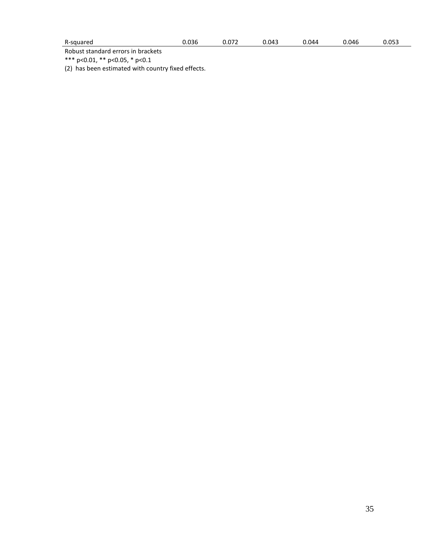| R-squared |
|-----------|
|-----------|

Robust standard errors in brackets

\*\*\* p<0.01, \*\* p<0.05, \* p<0.1

(2) has been estimated with country fixed effects.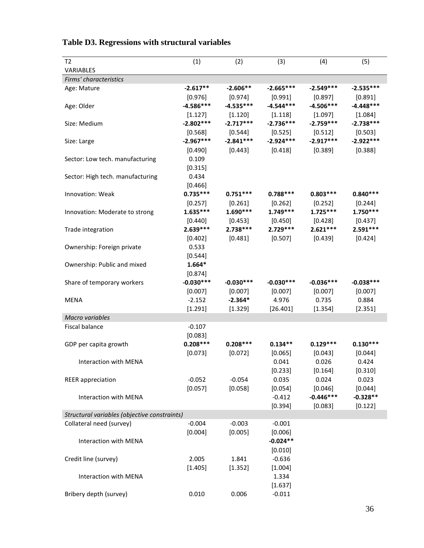| T2                                           | (1)         | (2)         | (3)         | (4)         | (5)         |
|----------------------------------------------|-------------|-------------|-------------|-------------|-------------|
| <b>VARIABLES</b>                             |             |             |             |             |             |
| Firms' characteristics                       |             |             |             |             |             |
| Age: Mature                                  | $-2.617**$  | $-2.606**$  | $-2.665***$ | $-2.549***$ | $-2.535***$ |
|                                              | [0.976]     | $[0.974]$   | [0.991]     | [0.897]     | [0.891]     |
| Age: Older                                   | $-4.586***$ | $-4.535***$ | $-4.544***$ | $-4.506***$ | $-4.448***$ |
|                                              | [1.127]     | [1.120]     | [1.118]     | [1.097]     | [1.084]     |
| Size: Medium                                 | $-2.802***$ | $-2.717***$ | $-2.736***$ | $-2.759***$ | $-2.738***$ |
|                                              | [0.568]     | [0.544]     | [0.525]     | [0.512]     | [0.503]     |
| Size: Large                                  | $-2.967***$ | $-2.841***$ | $-2.924***$ | $-2.917***$ | $-2.922***$ |
|                                              | [0.490]     | [0.443]     | [0.418]     | [0.389]     | [0.388]     |
| Sector: Low tech. manufacturing              | 0.109       |             |             |             |             |
|                                              | [0.315]     |             |             |             |             |
| Sector: High tech. manufacturing             | 0.434       |             |             |             |             |
|                                              | [0.466]     |             |             |             |             |
| Innovation: Weak                             | $0.735***$  | $0.751***$  | $0.788***$  | $0.803***$  | $0.840***$  |
|                                              | [0.257]     | $[0.261]$   | [0.262]     | [0.252]     | [0.244]     |
| Innovation: Moderate to strong               | $1.635***$  | $1.690***$  | $1.749***$  | $1.725***$  | $1.750***$  |
|                                              | [0.440]     | [0.453]     | $[0.450]$   | [0.428]     | [0.437]     |
| Trade integration                            | $2.639***$  | $2.738***$  | $2.729***$  | $2.621***$  | $2.591***$  |
|                                              | [0.402]     | [0.481]     | [0.507]     | [0.439]     | [0.424]     |
| Ownership: Foreign private                   | 0.533       |             |             |             |             |
|                                              | [0.544]     |             |             |             |             |
| Ownership: Public and mixed                  | $1.664*$    |             |             |             |             |
|                                              | [0.874]     |             |             |             |             |
| Share of temporary workers                   | $-0.030***$ | $-0.030***$ | $-0.030***$ | $-0.036***$ | $-0.038***$ |
|                                              | [0.007]     | [0.007]     | [0.007]     | [0.007]     | [0.007]     |
| <b>MENA</b>                                  | $-2.152$    | $-2.364*$   | 4.976       | 0.735       | 0.884       |
|                                              | [1.291]     | [1.329]     | [26.401]    | [1.354]     | [2.351]     |
| Macro variables                              |             |             |             |             |             |
| <b>Fiscal balance</b>                        | $-0.107$    |             |             |             |             |
|                                              | [0.083]     |             |             |             |             |
| GDP per capita growth                        | $0.208***$  | $0.208***$  | $0.134**$   | $0.129***$  | $0.130***$  |
|                                              | [0.073]     | [0.072]     | [0.065]     | [0.043]     | [0.044]     |
| Interaction with MENA                        |             |             | 0.041       | 0.026       | 0.424       |
|                                              |             |             | [0.233]     | [0.164]     | [0.310]     |
| <b>REER</b> appreciation                     | $-0.052$    | $-0.054$    | 0.035       | 0.024       | 0.023       |
|                                              | [0.057]     | [0.058]     | [0.054]     | [0.046]     | [0.044]     |
| Interaction with MENA                        |             |             | $-0.412$    | $-0.446***$ | $-0.328**$  |
|                                              |             |             | [0.394]     | [0.083]     | [0.122]     |
| Structural variables (objective constraints) |             |             |             |             |             |
| Collateral need (survey)                     | $-0.004$    | $-0.003$    | $-0.001$    |             |             |
|                                              | [0.004]     | [0.005]     | [0.006]     |             |             |
| Interaction with MENA                        |             |             | $-0.024**$  |             |             |
|                                              |             |             | [0.010]     |             |             |
| Credit line (survey)                         | 2.005       | 1.841       | $-0.636$    |             |             |
|                                              | [1.405]     | [1.352]     | [1.004]     |             |             |
| Interaction with MENA                        |             |             | 1.334       |             |             |
|                                              |             |             | [1.637]     |             |             |
| Bribery depth (survey)                       | 0.010       | 0.006       | $-0.011$    |             |             |

## **Table D3. Regressions with structural variables**